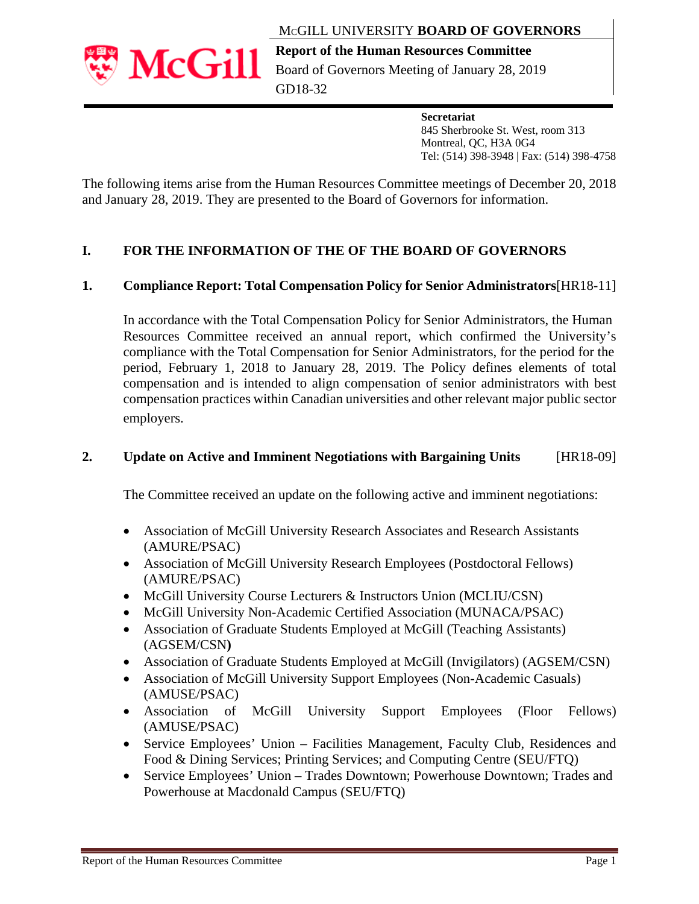



**Report of the Human Resources Committee**  Board of Governors Meeting of January 28, 2019 GD18-32

#### **Secretariat**

 845 Sherbrooke St. West, room 313 Montreal, QC, H3A 0G4 Tel: (514) 398-3948 | Fax: (514) 398-4758

The following items arise from the Human Resources Committee meetings of December 20, 2018 and January 28, 2019. They are presented to the Board of Governors for information.

## **I. FOR THE INFORMATION OF THE OF THE BOARD OF GOVERNORS**

## **1. Compliance Report: Total Compensation Policy for Senior Administrators**[HR18-11]

In accordance with the Total Compensation Policy for Senior Administrators, the Human Resources Committee received an annual report, which confirmed the University's compliance with the Total Compensation for Senior Administrators, for the period for the period, February 1, 2018 to January 28, 2019. The Policy defines elements of total compensation and is intended to align compensation of senior administrators with best compensation practices within Canadian universities and other relevant major public sector employers.

## **2. Update on Active and Imminent Negotiations with Bargaining Units** [HR18-09]

The Committee received an update on the following active and imminent negotiations:

- Association of McGill University Research Associates and Research Assistants (AMURE/PSAC)
- Association of McGill University Research Employees (Postdoctoral Fellows) (AMURE/PSAC)
- McGill University Course Lecturers & Instructors Union (MCLIU/CSN)
- McGill University Non-Academic Certified Association (MUNACA/PSAC)
- Association of Graduate Students Employed at McGill (Teaching Assistants) (AGSEM/CSN**)**
- Association of Graduate Students Employed at McGill (Invigilators) (AGSEM/CSN)
- Association of McGill University Support Employees (Non-Academic Casuals) (AMUSE/PSAC)
- Association of McGill University Support Employees (Floor Fellows) (AMUSE/PSAC)
- Service Employees' Union Facilities Management, Faculty Club, Residences and Food & Dining Services; Printing Services; and Computing Centre (SEU/FTQ)
- Service Employees' Union Trades Downtown; Powerhouse Downtown; Trades and Powerhouse at Macdonald Campus (SEU/FTQ)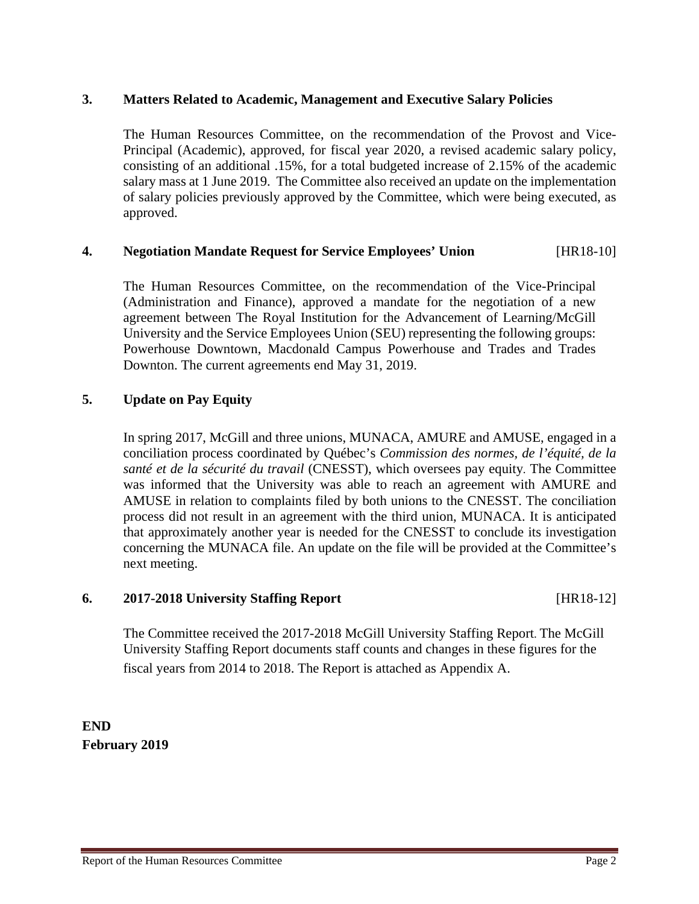## **3. Matters Related to Academic, Management and Executive Salary Policies**

The Human Resources Committee, on the recommendation of the Provost and Vice-Principal (Academic), approved, for fiscal year 2020, a revised academic salary policy, consisting of an additional .15%, for a total budgeted increase of 2.15% of the academic salary mass at 1 June 2019. The Committee also received an update on the implementation of salary policies previously approved by the Committee, which were being executed, as approved.

## **4. Negotiation Mandate Request for Service Employees' Union** [HR18-10]

The Human Resources Committee, on the recommendation of the Vice-Principal (Administration and Finance), approved a mandate for the negotiation of a new agreement between The Royal Institution for the Advancement of Learning/McGill University and the Service Employees Union (SEU) representing the following groups: Powerhouse Downtown, Macdonald Campus Powerhouse and Trades and Trades Downton. The current agreements end May 31, 2019.

## **5. Update on Pay Equity**

In spring 2017, McGill and three unions, MUNACA, AMURE and AMUSE, engaged in a conciliation process coordinated by Québec's *Commission des normes, de l'équité, de la santé et de la sécurité du travail* (CNESST), which oversees pay equity. The Committee was informed that the University was able to reach an agreement with AMURE and AMUSE in relation to complaints filed by both unions to the CNESST. The conciliation process did not result in an agreement with the third union, MUNACA. It is anticipated that approximately another year is needed for the CNESST to conclude its investigation concerning the MUNACA file. An update on the file will be provided at the Committee's next meeting.

## **6. 2017-2018 University Staffing Report** [HR18-12]

The Committee received the 2017-2018 McGill University Staffing Report. The McGill University Staffing Report documents staff counts and changes in these figures for the fiscal years from 2014 to 2018. The Report is attached as Appendix A.

**END February 2019**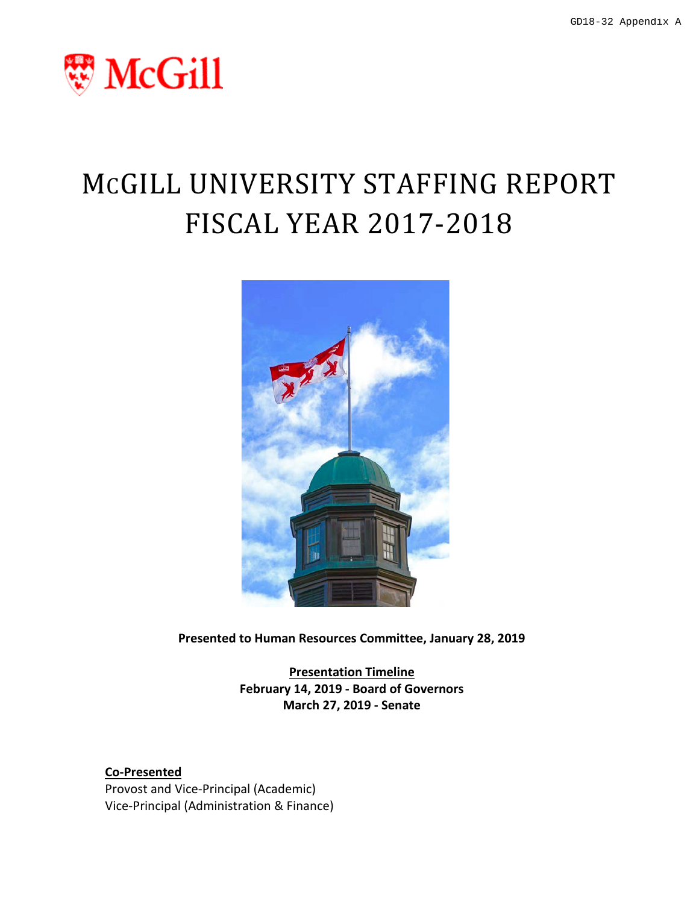

# MCGILL UNIVERSITY STAFFING REPORT FISCAL YEAR 2017-2018



**Presented to Human Resources Committee, January 28, 2019**

**Presentation Timeline February 14, 2019 - Board of Governors March 27, 2019 - Senate**

**Co-Presented** Provost and Vice-Principal (Academic)

Vice-Principal (Administration & Finance)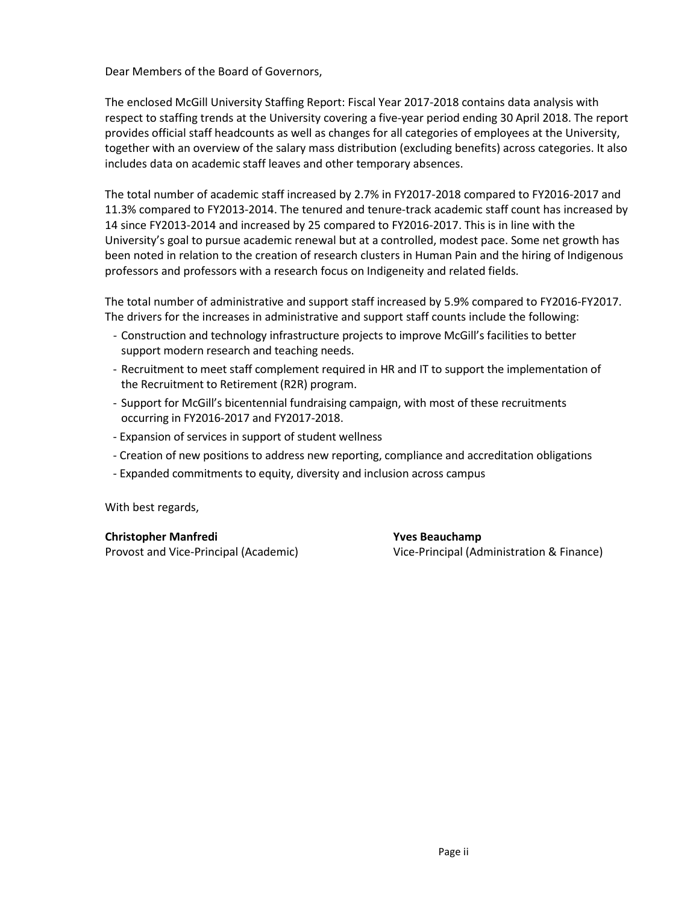Dear Members of the Board of Governors,

The enclosed McGill University Staffing Report: Fiscal Year 2017-2018 contains data analysis with respect to staffing trends at the University covering a five-year period ending 30 April 2018. The report provides official staff headcounts as well as changes for all categories of employees at the University, together with an overview of the salary mass distribution (excluding benefits) across categories. It also includes data on academic staff leaves and other temporary absences.

The total number of academic staff increased by 2.7% in FY2017-2018 compared to FY2016-2017 and 11.3% compared to FY2013-2014. The tenured and tenure-track academic staff count has increased by 14 since FY2013-2014 and increased by 25 compared to FY2016-2017. This is in line with the University's goal to pursue academic renewal but at a controlled, modest pace. Some net growth has been noted in relation to the creation of research clusters in Human Pain and the hiring of Indigenous professors and professors with a research focus on Indigeneity and related fields.

The total number of administrative and support staff increased by 5.9% compared to FY2016-FY2017. The drivers for the increases in administrative and support staff counts include the following:

- Construction and technology infrastructure projects to improve McGill's facilities to better support modern research and teaching needs.
- Recruitment to meet staff complement required in HR and IT to support the implementation of the Recruitment to Retirement (R2R) program.
- Support for McGill's bicentennial fundraising campaign, with most of these recruitments occurring in FY2016-2017 and FY2017-2018.
- Expansion of services in support of student wellness
- Creation of new positions to address new reporting, compliance and accreditation obligations
- Expanded commitments to equity, diversity and inclusion across campus

With best regards,

**Christopher Manfredi Yves Beauchamp**

Provost and Vice-Principal (Academic) Vice-Principal (Administration & Finance)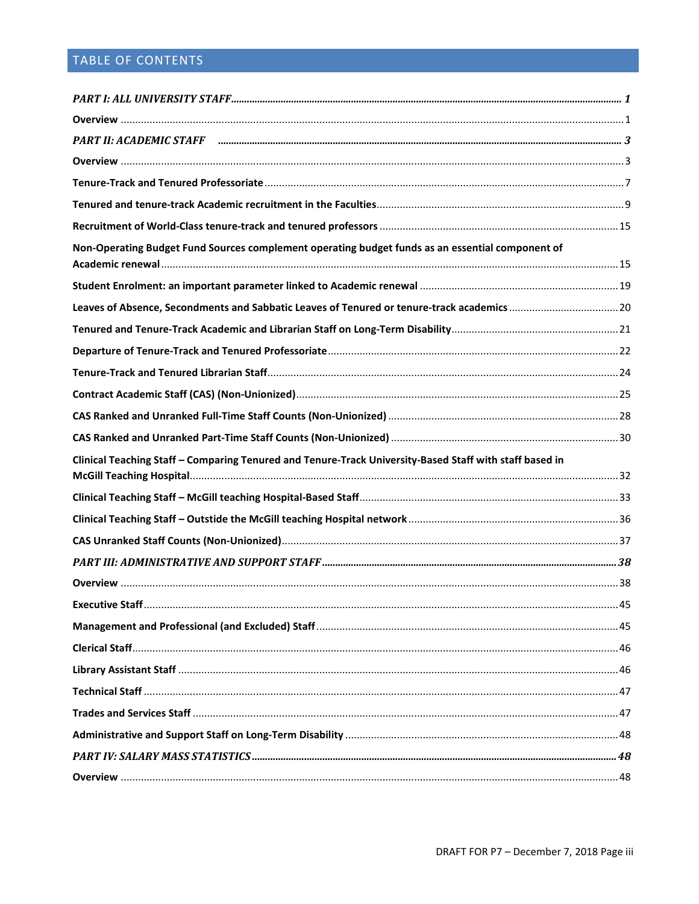# TABLE OF CONTENTS

| Non-Operating Budget Fund Sources complement operating budget funds as an essential component of        |  |
|---------------------------------------------------------------------------------------------------------|--|
|                                                                                                         |  |
|                                                                                                         |  |
|                                                                                                         |  |
|                                                                                                         |  |
|                                                                                                         |  |
|                                                                                                         |  |
|                                                                                                         |  |
|                                                                                                         |  |
| Clinical Teaching Staff - Comparing Tenured and Tenure-Track University-Based Staff with staff based in |  |
|                                                                                                         |  |
|                                                                                                         |  |
|                                                                                                         |  |
|                                                                                                         |  |
|                                                                                                         |  |
|                                                                                                         |  |
|                                                                                                         |  |
|                                                                                                         |  |
|                                                                                                         |  |
|                                                                                                         |  |
|                                                                                                         |  |
|                                                                                                         |  |
|                                                                                                         |  |
|                                                                                                         |  |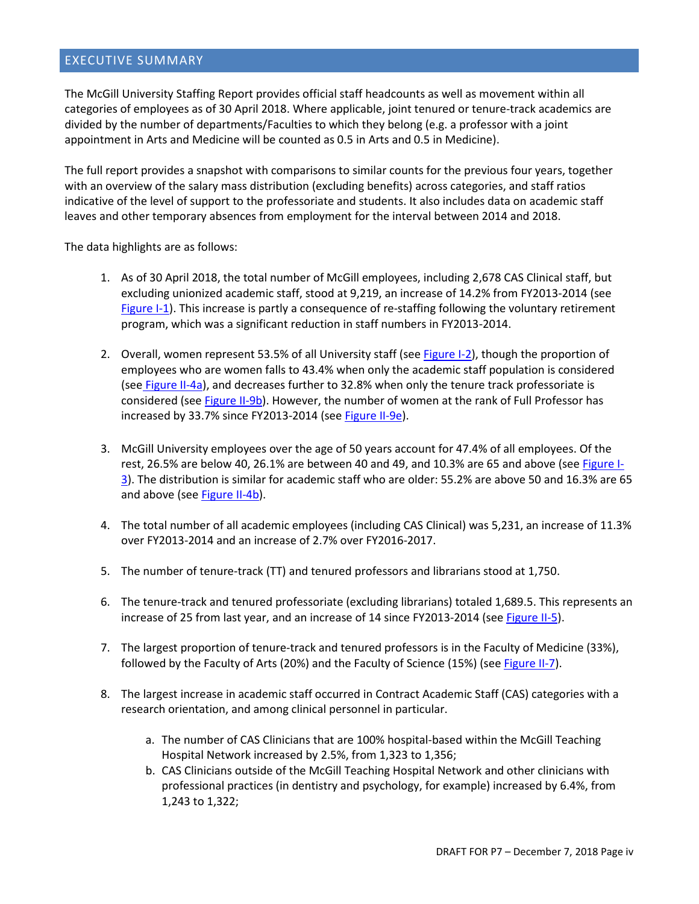#### EXECUTIVE SUMMARY

The McGill University Staffing Report provides official staff headcounts as well as movement within all categories of employees as of 30 April 2018. Where applicable, joint tenured or tenure-track academics are divided by the number of departments/Faculties to which they belong (e.g. a professor with a joint appointment in Arts and Medicine will be counted as 0.5 in Arts and 0.5 in Medicine).

The full report provides a snapshot with comparisons to similar counts for the previous four years, together with an overview of the salary mass distribution (excluding benefits) across categories, and staff ratios indicative of the level of support to the professoriate and students. It also includes data on academic staff leaves and other temporary absences from employment for the interval between 2014 and 2018.

The data highlights are as follows:

- 1. As of 30 April 2018, the total number of McGill employees, including 2,678 CAS Clinical staff, but excluding unionized academic staff, stood at 9,219, an increase of 14.2% from FY2013-2014 (see [Figure I-1\)](#page-8-2). This increase is partly a consequence of re-staffing following the voluntary retirement program, which was a significant reduction in staff numbers in FY2013-2014.
- 2. Overall, women represent 53.5% of all University staff (see [Figure I-2\)](#page-8-3), though the proportion of employees who are women falls to 43.4% when only the academic staff population is considered (see [Figure II-4a\)](#page-13-0), and decreases further to 32.8% when only the tenure track professoriate is considered (see [Figure II-9b\)](#page-19-0). However, the number of women at the rank of Full Professor has increased by 33.7% since FY2013-2014 (see [Figure II-9e\)](#page-20-0).
- 3. McGill University employees over the age of 50 years account for 47.4% of all employees. Of the rest, 26.5% are below 40, 26.1% are between 40 and 49, and 10.3% are 65 and above (see [Figure I-](#page-9-0)[3\)](#page-9-0). The distribution is similar for academic staff who are older: 55.2% are above 50 and 16.3% are 65 and above (see [Figure II-4b\)](#page-13-0).
- 4. The total number of all academic employees (including CAS Clinical) was 5,231, an increase of 11.3% over FY2013-2014 and an increase of 2.7% over FY2016-2017.
- 5. The number of tenure-track (TT) and tenured professors and librarians stood at 1,750.
- 6. The tenure-track and tenured professoriate (excluding librarians) totaled 1,689.5. This represents an increase of 25 from last year, and an increase of 14 since FY2013-2014 (se[e Figure II-5\)](#page-14-1).
- 7. The largest proportion of tenure-track and tenured professors is in the Faculty of Medicine (33%), followed by the Faculty of Arts (20%) and the Faculty of Science (15%) (se[e Figure II-7\)](#page-16-1).
- 8. The largest increase in academic staff occurred in Contract Academic Staff (CAS) categories with a research orientation, and among clinical personnel in particular.
	- a. The number of CAS Clinicians that are 100% hospital-based within the McGill Teaching Hospital Network increased by 2.5%, from 1,323 to 1,356;
	- b. CAS Clinicians outside of the McGill Teaching Hospital Network and other clinicians with professional practices (in dentistry and psychology, for example) increased by 6.4%, from 1,243 to 1,322;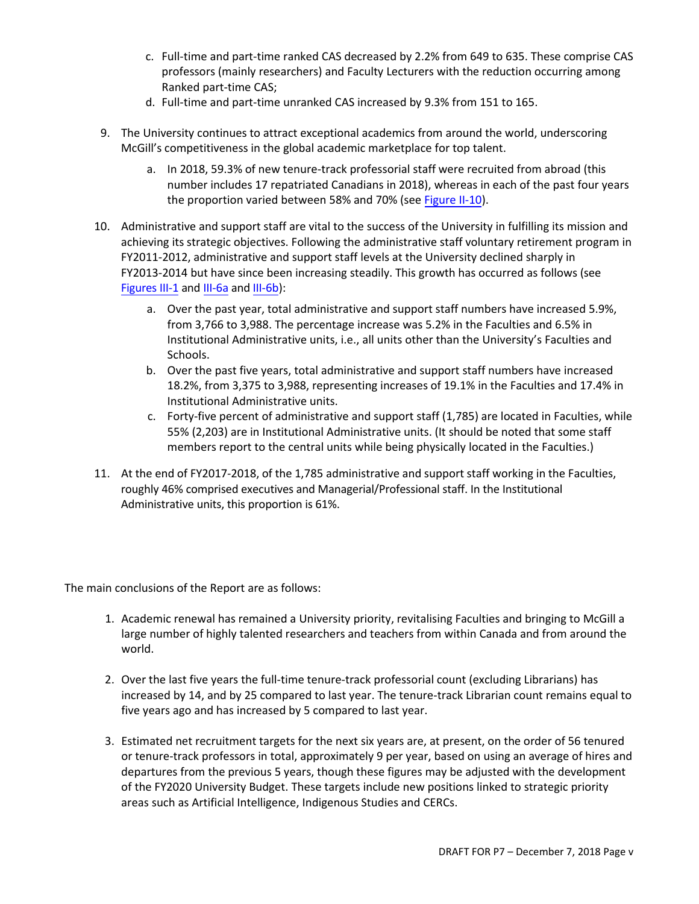- c. Full-time and part-time ranked CAS decreased by 2.2% from 649 to 635. These comprise CAS professors (mainly researchers) and Faculty Lecturers with the reduction occurring among Ranked part-time CAS;
- d. Full-time and part-time unranked CAS increased by 9.3% from 151 to 165.
- 9. The University continues to attract exceptional academics from around the world, underscoring McGill's competitiveness in the global academic marketplace for top talent.
	- a. In 2018, 59.3% of new tenure-track professorial staff were recruited from abroad (this number includes 17 repatriated Canadians in 2018), whereas in each of the past four years the proportion varied between 58% and 70% (see [Figure II-10\)](#page-22-2).
- 10. Administrative and support staff are vital to the success of the University in fulfilling its mission and achieving its strategic objectives. Following the administrative staff voluntary retirement program in FY2011-2012, administrative and support staff levels at the University declined sharply in FY2013-2014 but have [since been increasing steadily.](#page-46-0) This growth has occurred as follows (see Figures III-1 and [III-6a an](#page-49-0)d [III-6b\):](#page-49-1)
	- a. Over the past year, total administrative and support staff numbers have increased 5.9%, from 3,766 to 3,988. The percentage increase was 5.2% in the Faculties and 6.5% in Institutional Administrative units, i.e., all units other than the University's Faculties and Schools.
	- b. Over the past five years, total administrative and support staff numbers have increased 18.2%, from 3,375 to 3,988, representing increases of 19.1% in the Faculties and 17.4% in Institutional Administrative units.
	- c. Forty-five percent of administrative and support staff (1,785) are located in Faculties, while 55% (2,203) are in Institutional Administrative units. (It should be noted that some staff members report to the central units while being physically located in the Faculties.)
- 11. At the end of FY2017-2018, of the 1,785 administrative and support staff working in the Faculties, roughly 46% comprised executives and Managerial/Professional staff. In the Institutional Administrative units, this proportion is 61%.

The main conclusions of the Report are as follows:

- 1. Academic renewal has remained a University priority, revitalising Faculties and bringing to McGill a large number of highly talented researchers and teachers from within Canada and from around the world.
- 2. Over the last five years the full-time tenure-track professorial count (excluding Librarians) has increased by 14, and by 25 compared to last year. The tenure-track Librarian count remains equal to five years ago and has increased by 5 compared to last year.
- 3. Estimated net recruitment targets for the next six years are, at present, on the order of 56 tenured or tenure-track professors in total, approximately 9 per year, based on using an average of hires and departures from the previous 5 years, though these figures may be adjusted with the development of the FY2020 University Budget. These targets include new positions linked to strategic priority areas such as Artificial Intelligence, Indigenous Studies and CERCs.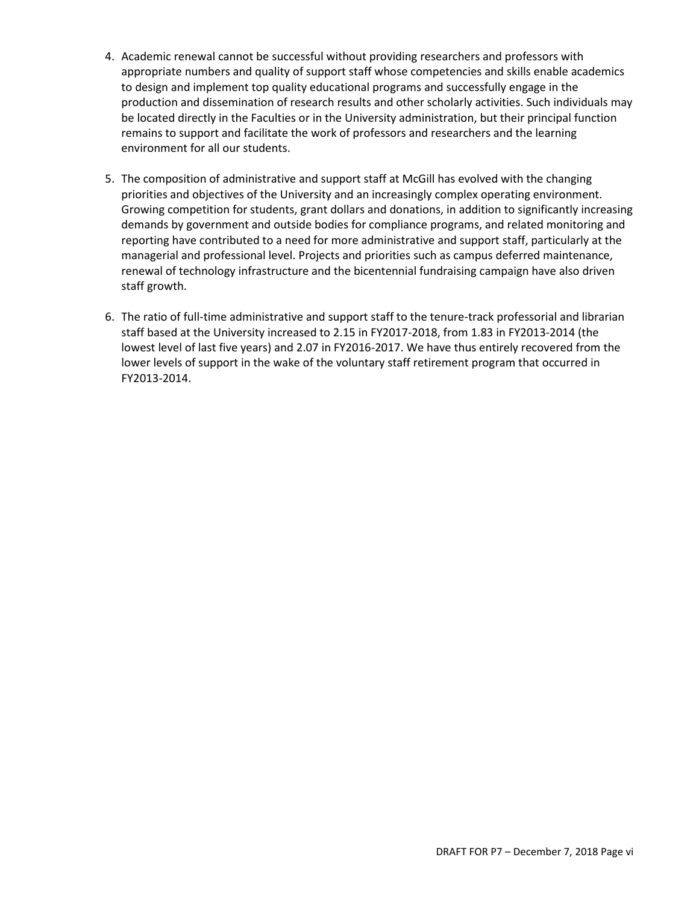- 4. Academic renewal cannot be successful without providing researchers and professors with appropriate numbers and quality of support staff whose competencies and skills enable academics to design and implement top quality educational programs and successfully engage in the production and dissemination of research results and other scholarly activities. Such individuals may be located directly in the Faculties or in the University administration, but their principal function remains to support and facilitate the work of professors and researchers and the learning environment for all our students.
- 5. The composition of administrative and support staff at McGill has evolved with the changing priorities and objectives of the University and an increasingly complex operating environment. Growing competition for students, grant dollars and donations, in addition to significantly increasing demands by government and outside bodies for compliance programs, and related monitoring and reporting have contributed to a need for more administrative and support staff, particularly at the managerial and professional level. Projects and priorities such as campus deferred maintenance, renewal of technology infrastructure and the bicentennial fundraising campaign have also driven staff growth.
- 6. The ratio of full-time administrative and support staff to the tenure-track professorial and librarian staff based at the University increased to 2.15 in FY2017-2018, from 1.83 in FY2013-2014 (the lowest level of last five years) and 2.07 in FY2016-2017. We have thus entirely recovered from the lower levels of support in the wake of the voluntary staff retirement program that occurred in FY2013-2014.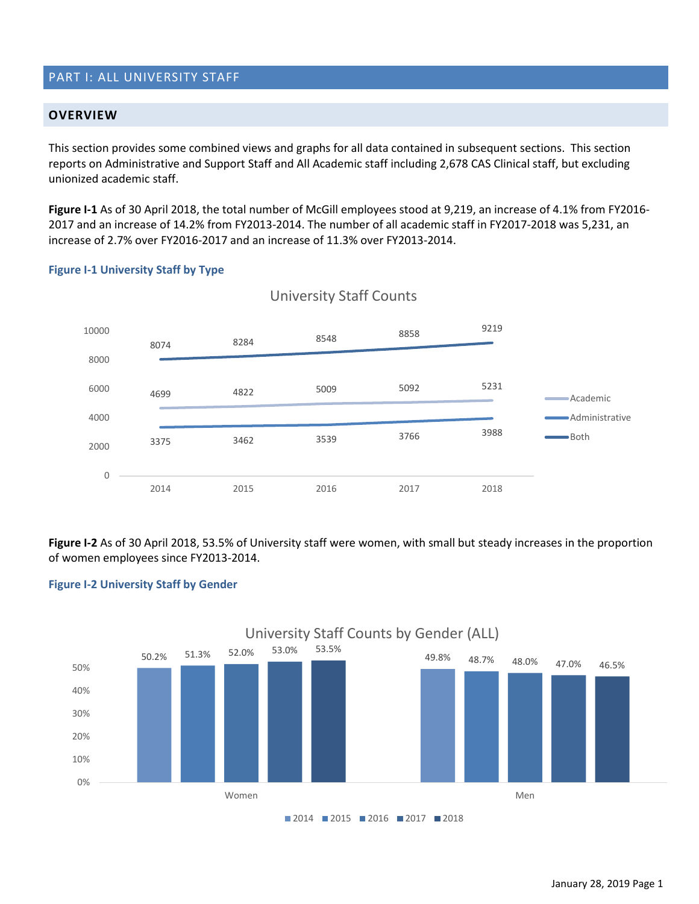## <span id="page-8-0"></span>PART I: ALL UNIVERSITY STAFF

#### <span id="page-8-1"></span>**OVERVIEW**

This section provides some combined views and graphs for all data contained in subsequent sections. This section reports on Administrative and Support Staff and All Academic staff including 2,678 CAS Clinical staff, but excluding unionized academic staff.

**Figure I-1** As of 30 April 2018, the total number of McGill employees stood at 9,219, an increase of 4.1% from FY2016- 2017 and an increase of 14.2% from FY2013-2014. The number of all academic staff in FY2017-2018 was 5,231, an increase of 2.7% over FY2016-2017 and an increase of 11.3% over FY2013-2014.

#### <span id="page-8-2"></span>**Figure I-1 University Staff by Type**



## University Staff Counts

**Figure I-2** As of 30 April 2018, 53.5% of University staff were women, with small but steady increases in the proportion of women employees since FY2013-2014.

#### <span id="page-8-3"></span>**Figure I-2 University Staff by Gender**

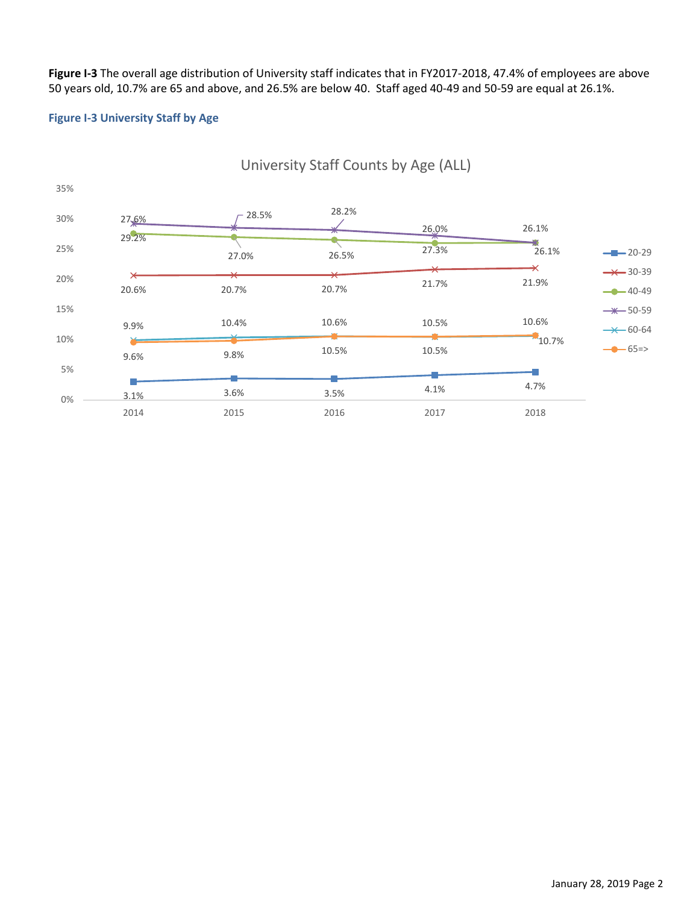**Figure I-3** The overall age distribution of University staff indicates that in FY2017-2018, 47.4% of employees are above 50 years old, 10.7% are 65 and above, and 26.5% are below 40. Staff aged 40-49 and 50-59 are equal at 26.1%.

#### <span id="page-9-0"></span>**Figure I-3 University Staff by Age**



## University Staff Counts by Age (ALL)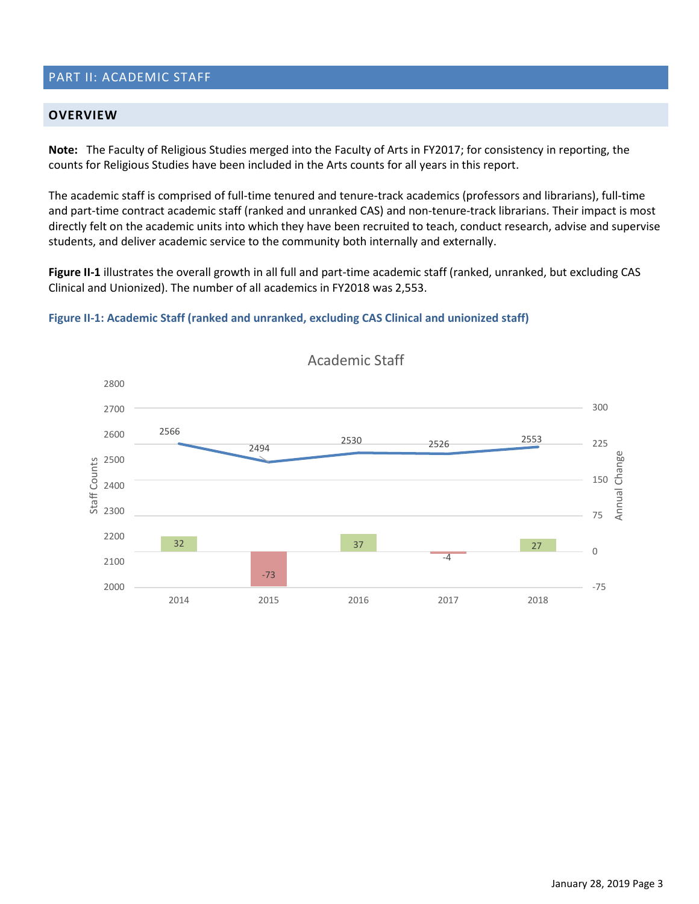## <span id="page-10-0"></span>PART II: ACADEMIC STAFF

#### <span id="page-10-1"></span>**OVERVIEW**

**Note:** The Faculty of Religious Studies merged into the Faculty of Arts in FY2017; for consistency in reporting, the counts for Religious Studies have been included in the Arts counts for all years in this report.

The academic staff is comprised of full-time tenured and tenure-track academics (professors and librarians), full-time and part-time contract academic staff (ranked and unranked CAS) and non-tenure-track librarians. Their impact is most directly felt on the academic units into which they have been recruited to teach, conduct research, advise and supervise students, and deliver academic service to the community both internally and externally.

**Figure II-1** illustrates the overall growth in all full and part-time academic staff (ranked, unranked, but excluding CAS Clinical and Unionized). The number of all academics in FY2018 was 2,553.

#### **Figure II-1: Academic Staff (ranked and unranked, excluding CAS Clinical and unionized staff)**



Academic Staff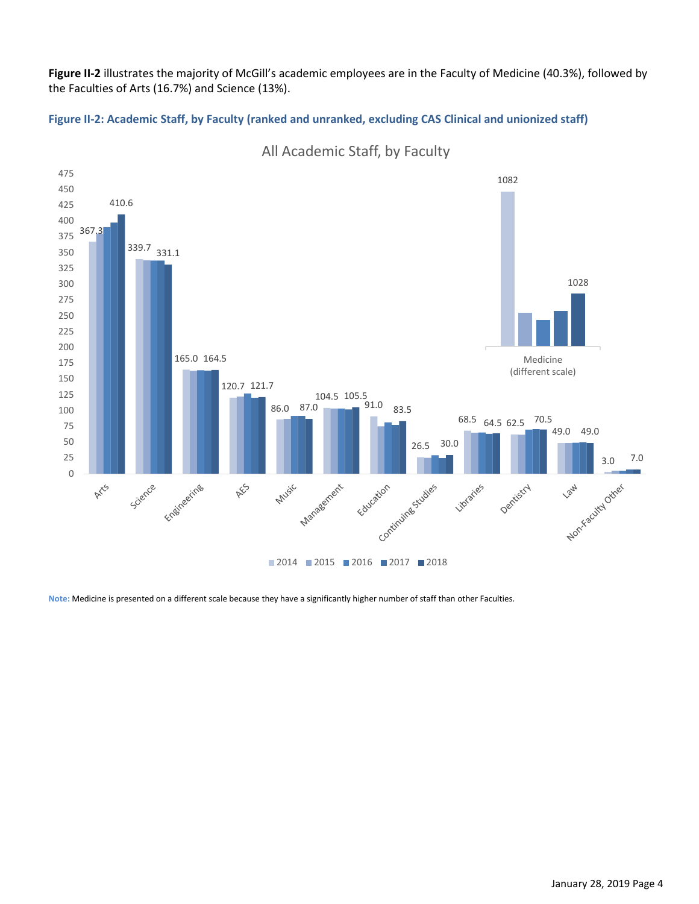**Figure II-2** illustrates the majority of McGill's academic employees are in the Faculty of Medicine (40.3%), followed by the Faculties of Arts (16.7%) and Science (13%).

**Figure II-2: Academic Staff, by Faculty (ranked and unranked, excluding CAS Clinical and unionized staff)** 



All Academic Staff, by Faculty

**Note:** Medicine is presented on a different scale because they have a significantly higher number of staff than other Faculties.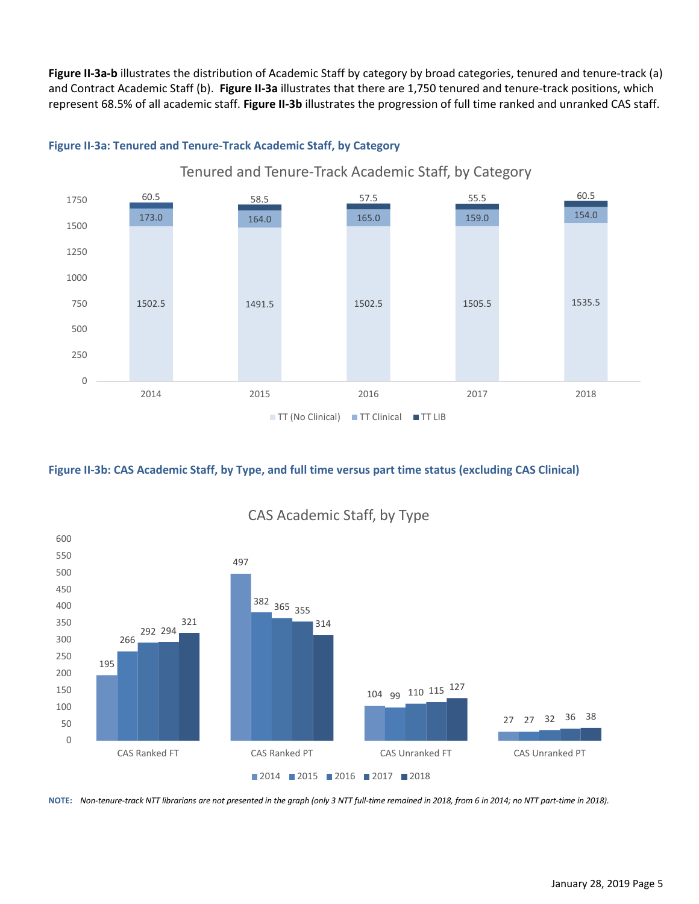**Figure II-3a-b** illustrates the distribution of Academic Staff by category by broad categories, tenured and tenure-track (a) and Contract Academic Staff (b). **Figure II-3a** illustrates that there are 1,750 tenured and tenure-track positions, which represent 68.5% of all academic staff. **Figure II-3b** illustrates the progression of full time ranked and unranked CAS staff.



#### **Figure II-3a: Tenured and Tenure-Track Academic Staff, by Category**

**Figure II-3b: CAS Academic Staff, by Type, and full time versus part time status (excluding CAS Clinical)**



CAS Academic Staff, by Type

**NOTE:** *Non-tenure-track NTT librarians are not presented in the graph (only 3 NTT full-time remained in 2018, from 6 in 2014; no NTT part-time in 2018).*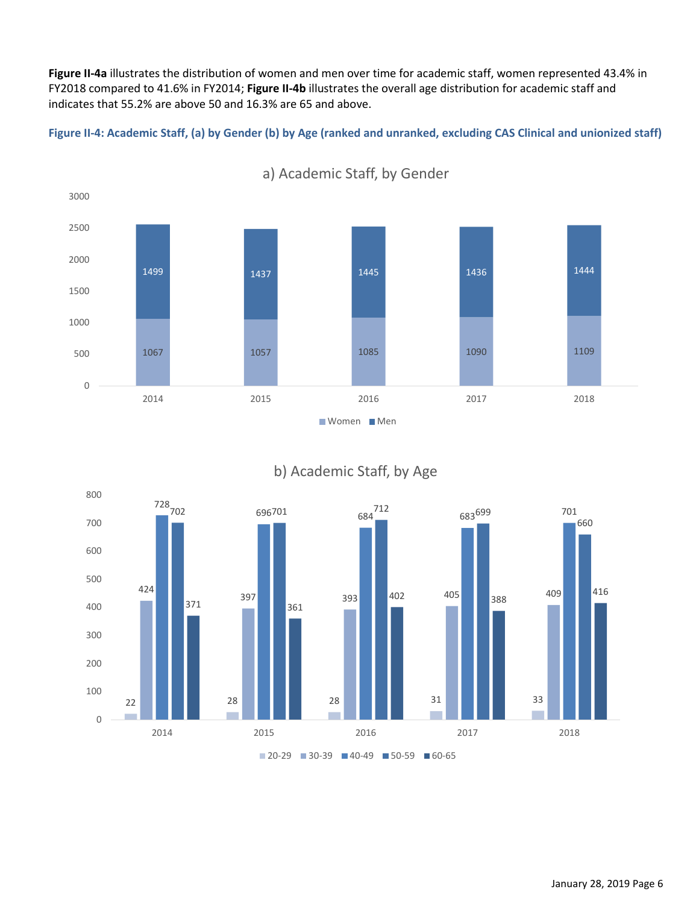**Figure II-4a** illustrates the distribution of women and men over time for academic staff, women represented 43.4% in FY2018 compared to 41.6% in FY2014; **Figure II-4b** illustrates the overall age distribution for academic staff and indicates that 55.2% are above 50 and 16.3% are 65 and above.

<span id="page-13-0"></span>**Figure II-4: Academic Staff, (a) by Gender (b) by Age (ranked and unranked, excluding CAS Clinical and unionized staff)**



a) Academic Staff, by Gender



## b) Academic Staff, by Age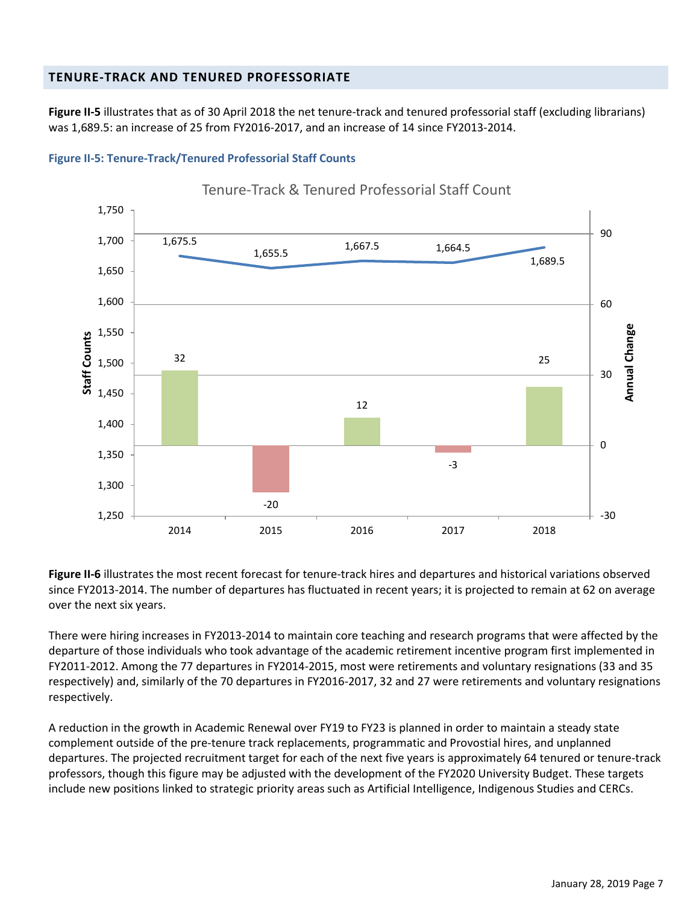## <span id="page-14-0"></span>**TENURE-TRACK AND TENURED PROFESSORIATE**

**Figure II-5** illustrates that as of 30 April 2018 the net tenure-track and tenured professorial staff (excluding librarians) was 1,689.5: an increase of 25 from FY2016-2017, and an increase of 14 since FY2013-2014.

<span id="page-14-1"></span>



**Figure II-6** illustrates the most recent forecast for tenure-track hires and departures and historical variations observed since FY2013-2014. The number of departures has fluctuated in recent years; it is projected to remain at 62 on average over the next six years.

There were hiring increases in FY2013-2014 to maintain core teaching and research programs that were affected by the departure of those individuals who took advantage of the academic retirement incentive program first implemented in FY2011-2012. Among the 77 departures in FY2014-2015, most were retirements and voluntary resignations (33 and 35 respectively) and, similarly of the 70 departures in FY2016-2017, 32 and 27 were retirements and voluntary resignations respectively.

A reduction in the growth in Academic Renewal over FY19 to FY23 is planned in order to maintain a steady state complement outside of the pre-tenure track replacements, programmatic and Provostial hires, and unplanned departures. The projected recruitment target for each of the next five years is approximately 64 tenured or tenure-track professors, though this figure may be adjusted with the development of the FY2020 University Budget. These targets include new positions linked to strategic priority areas such as Artificial Intelligence, Indigenous Studies and CERCs.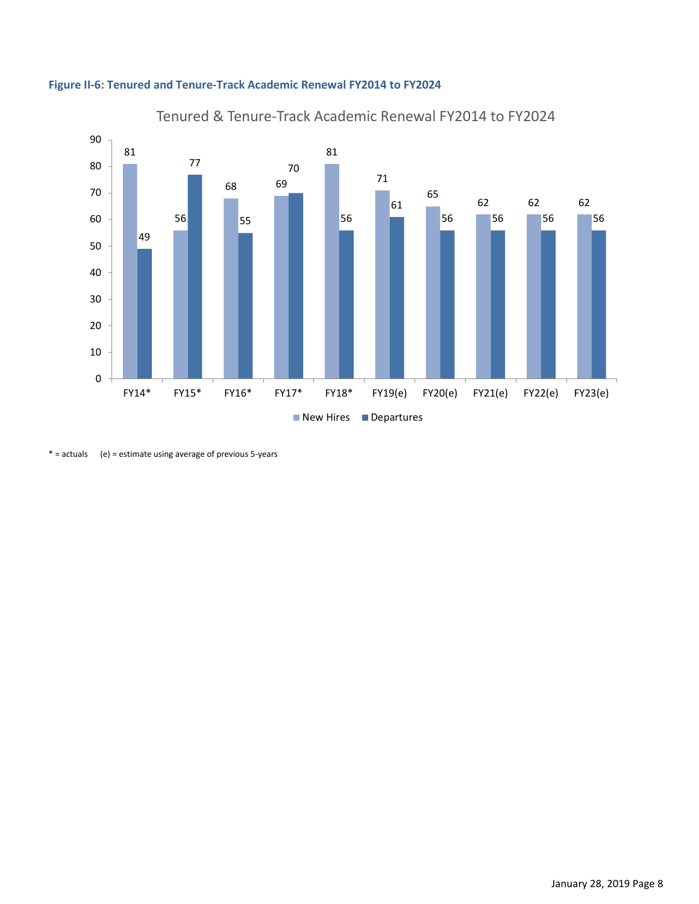



\* = actuals (e) = estimate using average of previous 5-years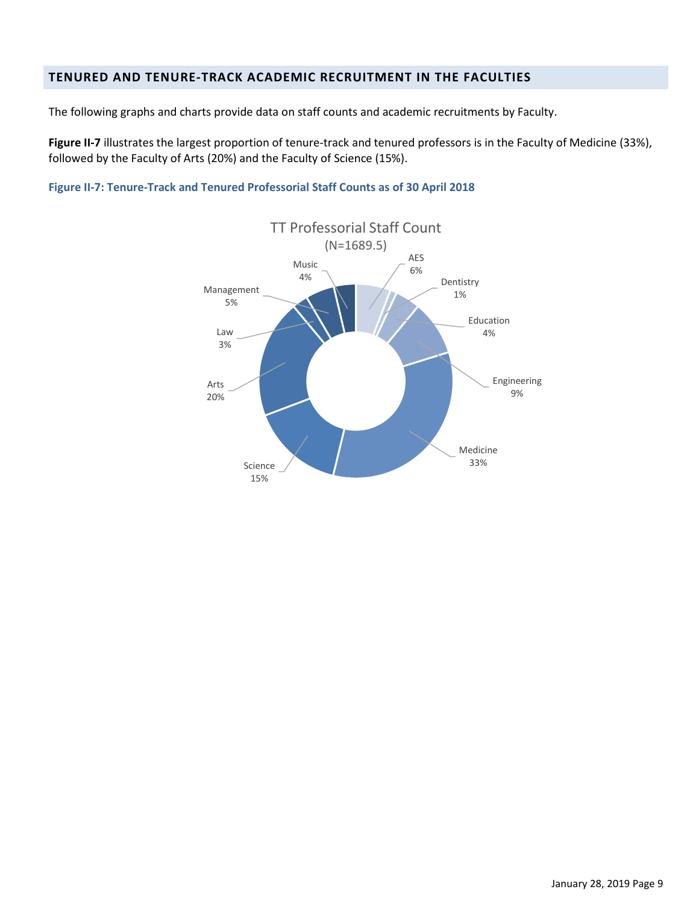## <span id="page-16-0"></span>**TENURED AND TENURE-TRACK ACADEMIC RECRUITMENT IN THE FACULTIES**

The following graphs and charts provide data on staff counts and academic recruitments by Faculty.

**Figure II-7** illustrates the largest proportion of tenure-track and tenured professors is in the Faculty of Medicine (33%), followed by the Faculty of Arts (20%) and the Faculty of Science (15%).

<span id="page-16-1"></span>**Figure II-7: Tenure-Track and Tenured Professorial Staff Counts as of 30 April 2018**

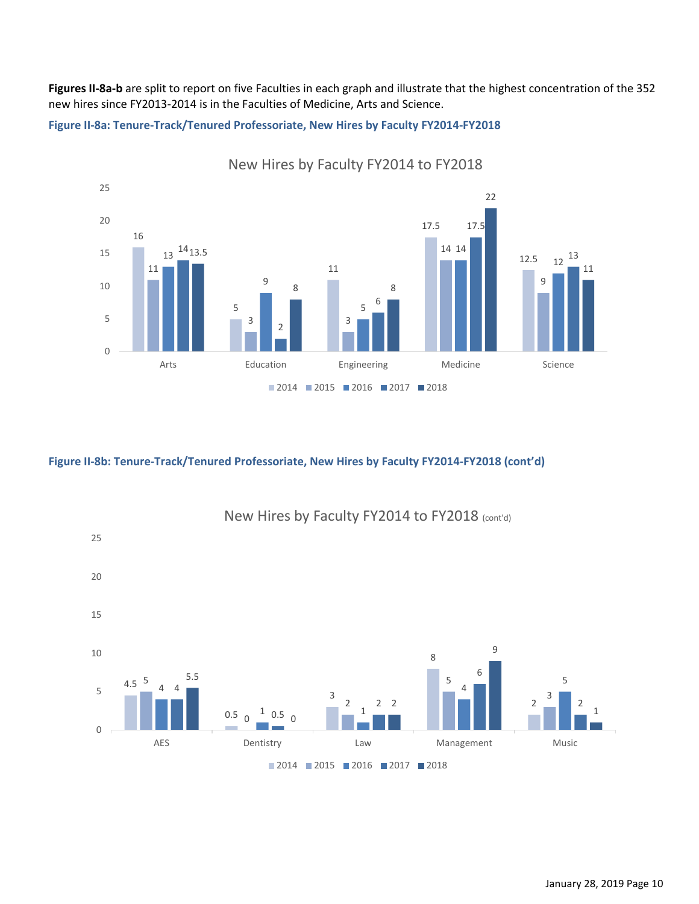**Figures II-8a-b** are split to report on five Faculties in each graph and illustrate that the highest concentration of the 352 new hires since FY2013-2014 is in the Faculties of Medicine, Arts and Science.

**Figure II-8a: Tenure-Track/Tenured Professoriate, New Hires by Faculty FY2014-FY2018** 



**Figure II-8b: Tenure-Track/Tenured Professoriate, New Hires by Faculty FY2014-FY2018 (cont'd)**



New Hires by Faculty FY2014 to FY2018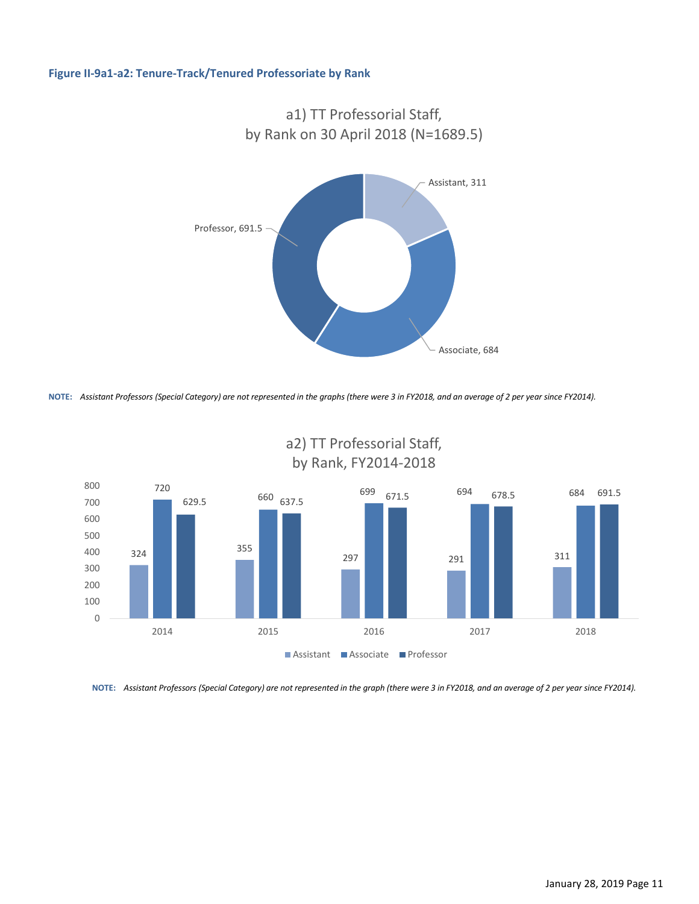#### **Figure II-9a1-a2: Tenure-Track/Tenured Professoriate by Rank**



**NOTE:** *Assistant Professors (Special Category) are not represented in the graphs (there were 3 in FY2018, and an average of 2 per year since FY2014).*



a2) TT Professorial Staff, by Rank, FY2014-2018

**NOTE:** *Assistant Professors (Special Category) are not represented in the graph (there were 3 in FY2018, and an average of 2 per year since FY2014).*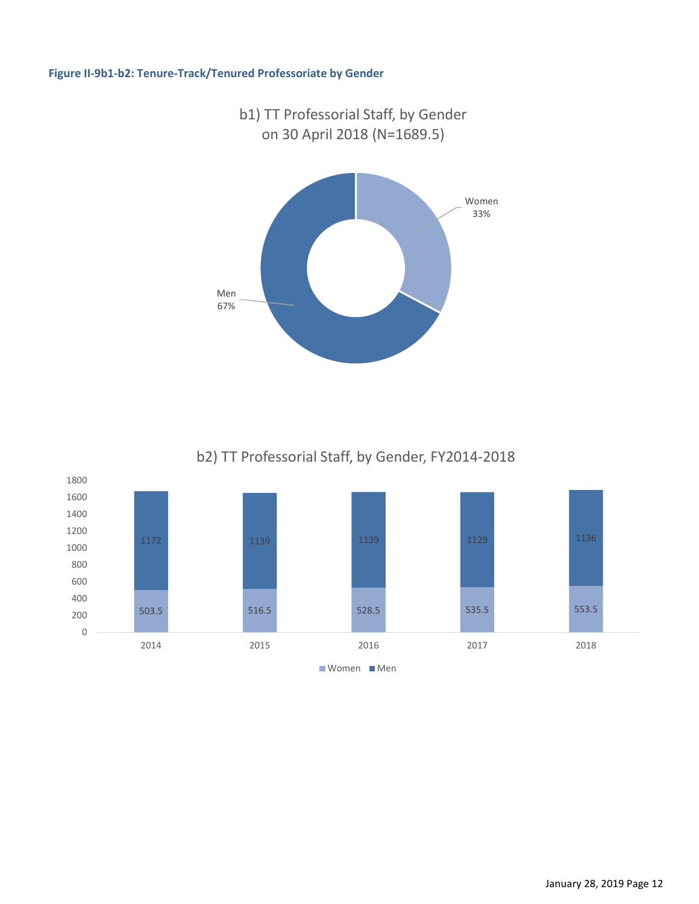#### <span id="page-19-0"></span>**Figure II-9b1-b2: Tenure-Track/Tenured Professoriate by Gender**



b2) TT Professorial Staff, by Gender, FY2014-2018

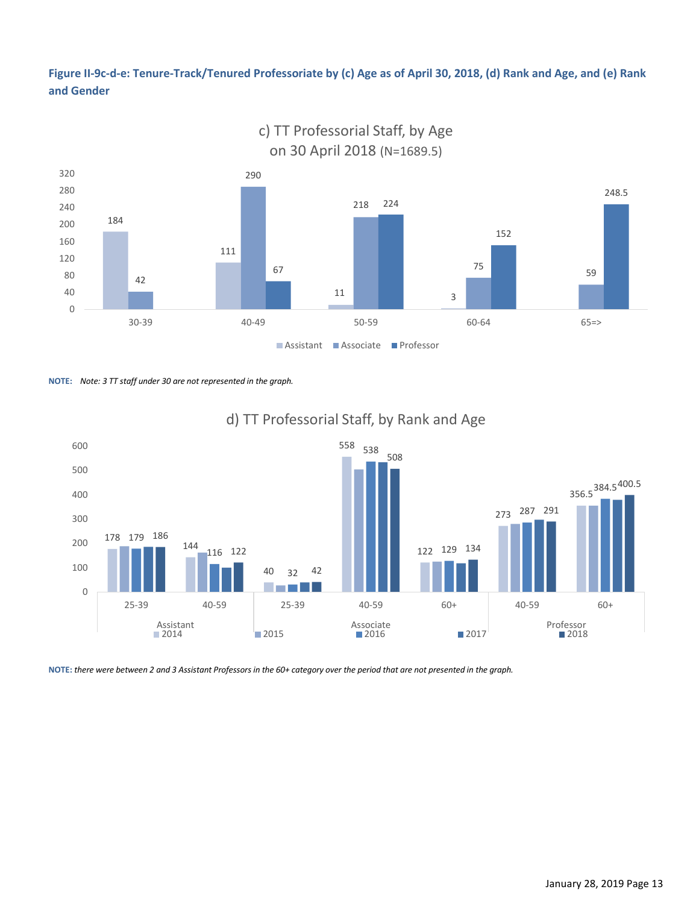<span id="page-20-0"></span>**Figure II-9c-d-e: Tenure-Track/Tenured Professoriate by (c) Age as of April 30, 2018, (d) Rank and Age, and (e) Rank and Gender**



c) TT Professorial Staff, by Age

**NOTE:** *Note: 3 TT staff under 30 are not represented in the graph.*



# d) TT Professorial Staff, by Rank and Age

**NOTE:** *there were between 2 and 3 Assistant Professors in the 60+ category over the period that are not presented in the graph.*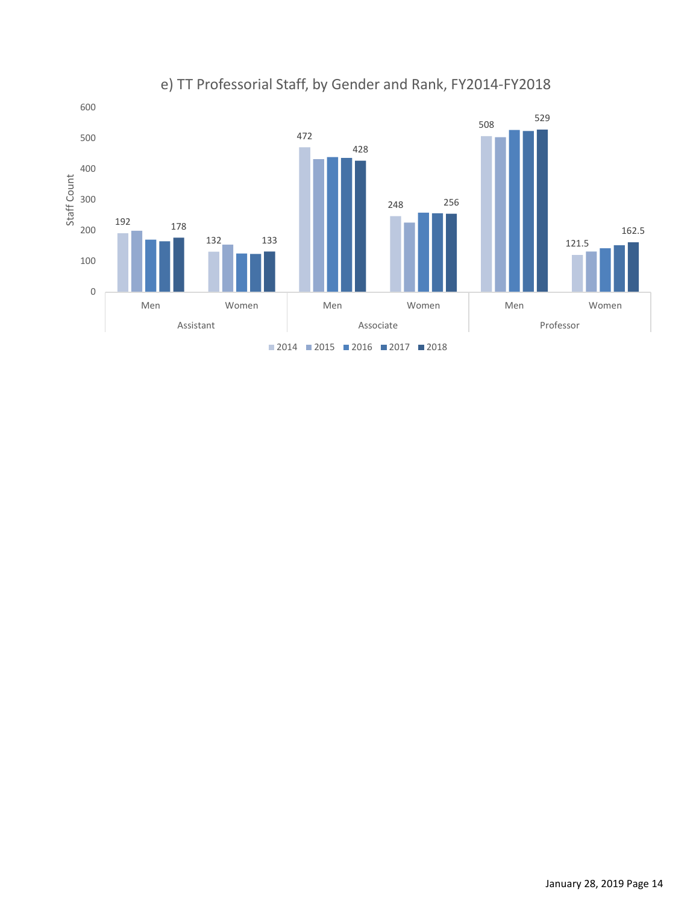

# e) TT Professorial Staff, by Gender and Rank, FY2014-FY2018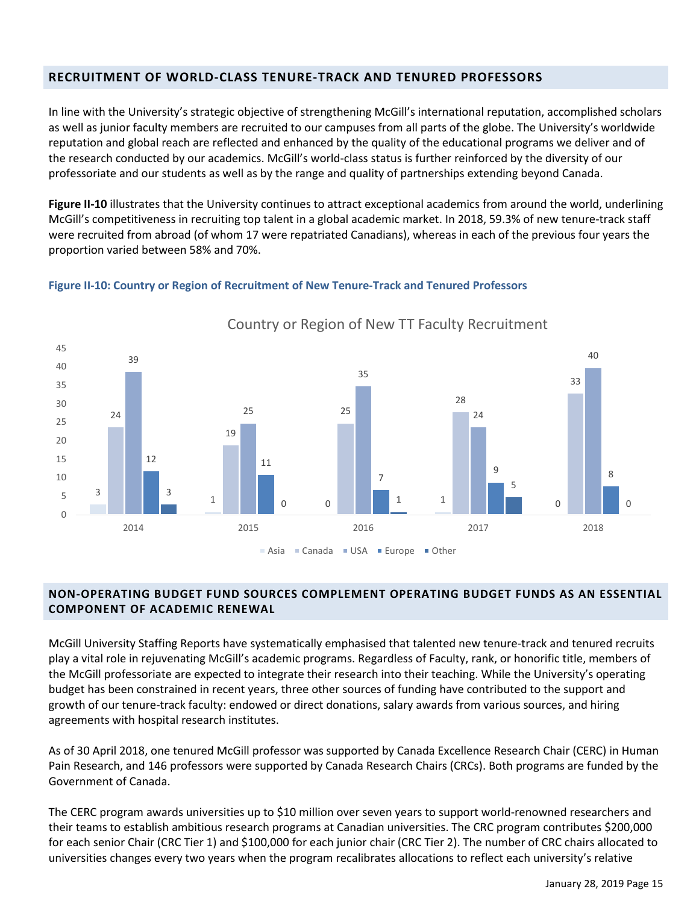## <span id="page-22-0"></span>**RECRUITMENT OF WORLD-CLASS TENURE-TRACK AND TENURED PROFESSORS**

In line with the University's strategic objective of strengthening McGill's international reputation, accomplished scholars as well as junior faculty members are recruited to our campuses from all parts of the globe. The University's worldwide reputation and global reach are reflected and enhanced by the quality of the educational programs we deliver and of the research conducted by our academics. McGill's world-class status is further reinforced by the diversity of our professoriate and our students as well as by the range and quality of partnerships extending beyond Canada.

**Figure II-10** illustrates that the University continues to attract exceptional academics from around the world, underlining McGill's competitiveness in recruiting top talent in a global academic market. In 2018, 59.3% of new tenure-track staff were recruited from abroad (of whom 17 were repatriated Canadians), whereas in each of the previous four years the proportion varied between 58% and 70%.

#### <span id="page-22-2"></span>**Figure II-10: Country or Region of Recruitment of New Tenure-Track and Tenured Professors**



Country or Region of New TT Faculty Recruitment

## <span id="page-22-1"></span>**NON-OPERATING BUDGET FUND SOURCES COMPLEMENT OPERATING BUDGET FUNDS AS AN ESSENTIAL COMPONENT OF ACADEMIC RENEWAL**

McGill University Staffing Reports have systematically emphasised that talented new tenure-track and tenured recruits play a vital role in rejuvenating McGill's academic programs. Regardless of Faculty, rank, or honorific title, members of the McGill professoriate are expected to integrate their research into their teaching. While the University's operating budget has been constrained in recent years, three other sources of funding have contributed to the support and growth of our tenure-track faculty: endowed or direct donations, salary awards from various sources, and hiring agreements with hospital research institutes.

As of 30 April 2018, one tenured McGill professor was supported by Canada Excellence Research Chair (CERC) in Human Pain Research, and 146 professors were supported by Canada Research Chairs (CRCs). Both programs are funded by the Government of Canada.

The CERC program awards universities up to \$10 million over seven years to support world-renowned researchers and their teams to establish ambitious research programs at Canadian universities. The CRC program contributes \$200,000 for each senior Chair (CRC Tier 1) and \$100,000 for each junior chair (CRC Tier 2). The number of CRC chairs allocated to universities changes every two years when the program recalibrates allocations to reflect each university's relative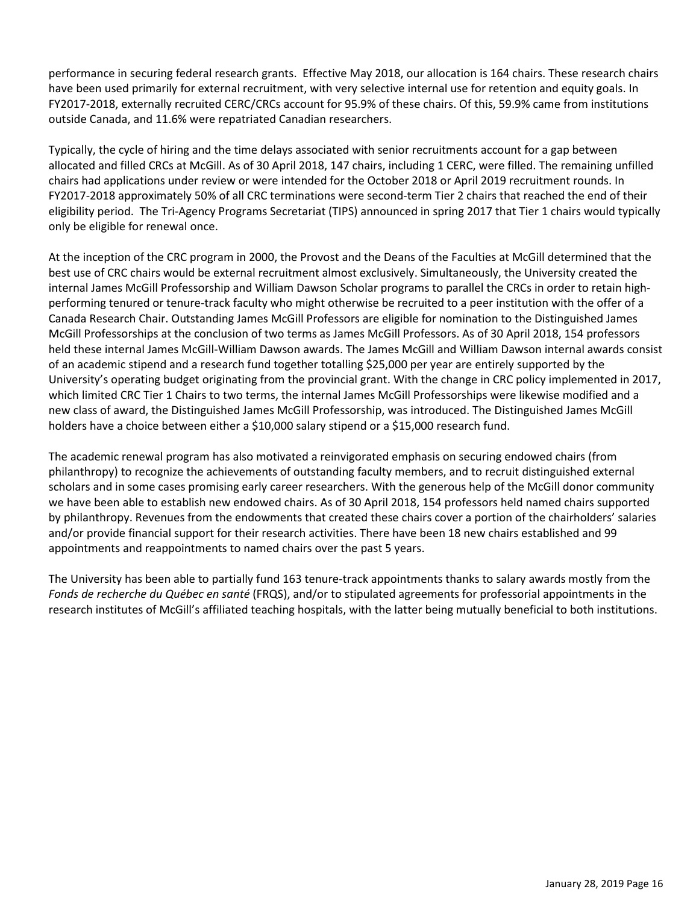performance in securing federal research grants. Effective May 2018, our allocation is 164 chairs. These research chairs have been used primarily for external recruitment, with very selective internal use for retention and equity goals. In FY2017-2018, externally recruited CERC/CRCs account for 95.9% of these chairs. Of this, 59.9% came from institutions outside Canada, and 11.6% were repatriated Canadian researchers.

Typically, the cycle of hiring and the time delays associated with senior recruitments account for a gap between allocated and filled CRCs at McGill. As of 30 April 2018, 147 chairs, including 1 CERC, were filled. The remaining unfilled chairs had applications under review or were intended for the October 2018 or April 2019 recruitment rounds. In FY2017-2018 approximately 50% of all CRC terminations were second-term Tier 2 chairs that reached the end of their eligibility period. The Tri-Agency Programs Secretariat (TIPS) announced in spring 2017 that Tier 1 chairs would typically only be eligible for renewal once.

At the inception of the CRC program in 2000, the Provost and the Deans of the Faculties at McGill determined that the best use of CRC chairs would be external recruitment almost exclusively. Simultaneously, the University created the internal James McGill Professorship and William Dawson Scholar programs to parallel the CRCs in order to retain highperforming tenured or tenure-track faculty who might otherwise be recruited to a peer institution with the offer of a Canada Research Chair. Outstanding James McGill Professors are eligible for nomination to the Distinguished James McGill Professorships at the conclusion of two terms as James McGill Professors. As of 30 April 2018, 154 professors held these internal James McGill-William Dawson awards. The James McGill and William Dawson internal awards consist of an academic stipend and a research fund together totalling \$25,000 per year are entirely supported by the University's operating budget originating from the provincial grant. With the change in CRC policy implemented in 2017, which limited CRC Tier 1 Chairs to two terms, the internal James McGill Professorships were likewise modified and a new class of award, the Distinguished James McGill Professorship, was introduced. The Distinguished James McGill holders have a choice between either a \$10,000 salary stipend or a \$15,000 research fund.

The academic renewal program has also motivated a reinvigorated emphasis on securing endowed chairs (from philanthropy) to recognize the achievements of outstanding faculty members, and to recruit distinguished external scholars and in some cases promising early career researchers. With the generous help of the McGill donor community we have been able to establish new endowed chairs. As of 30 April 2018, 154 professors held named chairs supported by philanthropy. Revenues from the endowments that created these chairs cover a portion of the chairholders' salaries and/or provide financial support for their research activities. There have been 18 new chairs established and 99 appointments and reappointments to named chairs over the past 5 years.

The University has been able to partially fund 163 tenure-track appointments thanks to salary awards mostly from the *Fonds de recherche du Québec en santé* (FRQS), and/or to stipulated agreements for professorial appointments in the research institutes of McGill's affiliated teaching hospitals, with the latter being mutually beneficial to both institutions.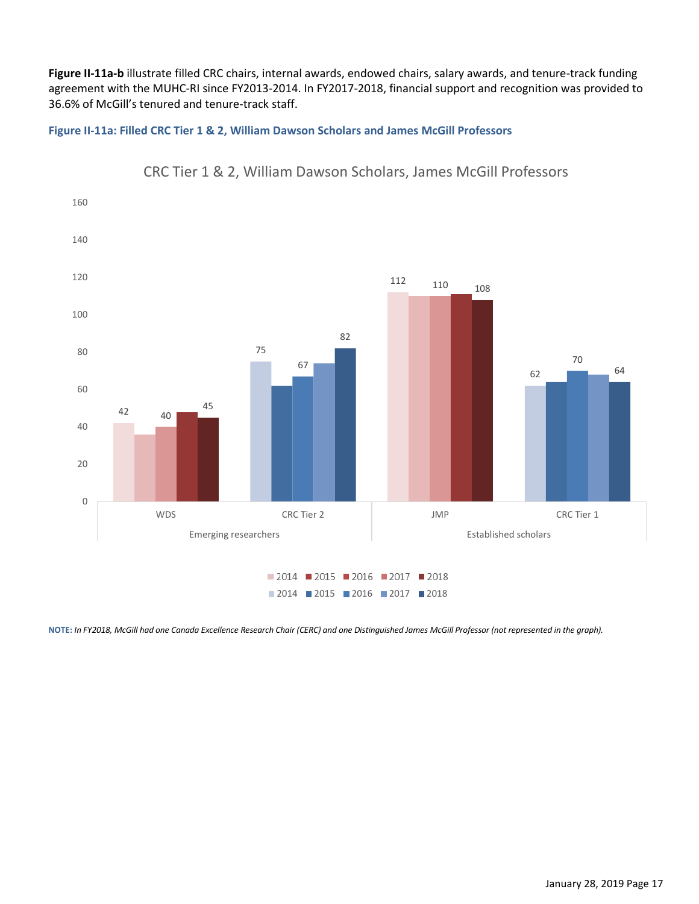**Figure II-11a-b** illustrate filled CRC chairs, internal awards, endowed chairs, salary awards, and tenure-track funding agreement with the MUHC-RI since FY2013-2014. In FY2017-2018, financial support and recognition was provided to 36.6% of McGill's tenured and tenure-track staff.

#### **Figure II-11a: Filled CRC Tier 1 & 2, William Dawson Scholars and James McGill Professors**



CRC Tier 1 & 2, William Dawson Scholars, James McGill Professors

**NOTE:** *In FY2018, McGill had one Canada Excellence Research Chair (CERC) and one Distinguished James McGill Professor (not represented in the graph).*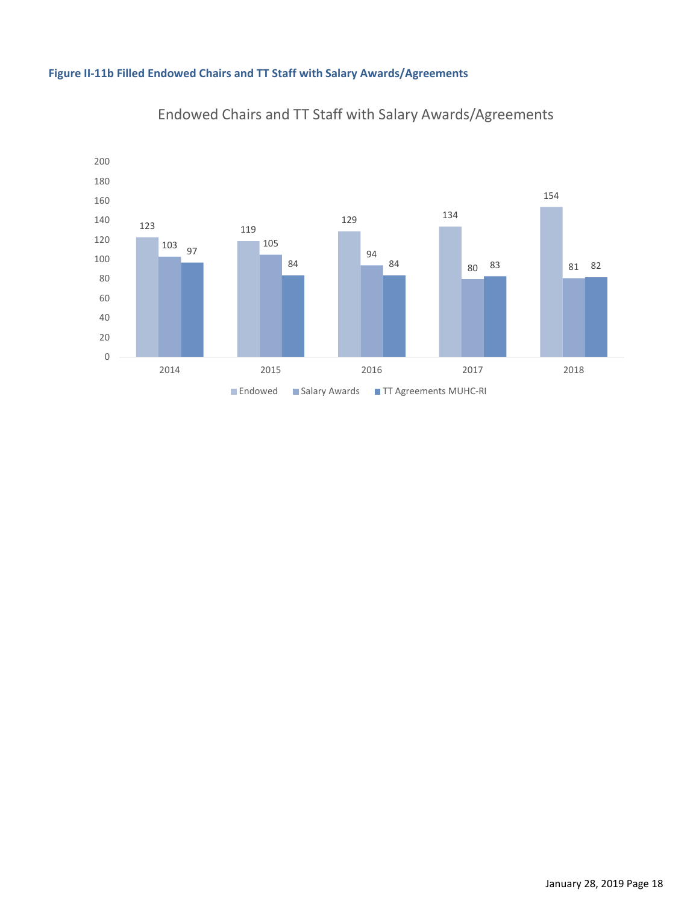



# Endowed Chairs and TT Staff with Salary Awards/Agreements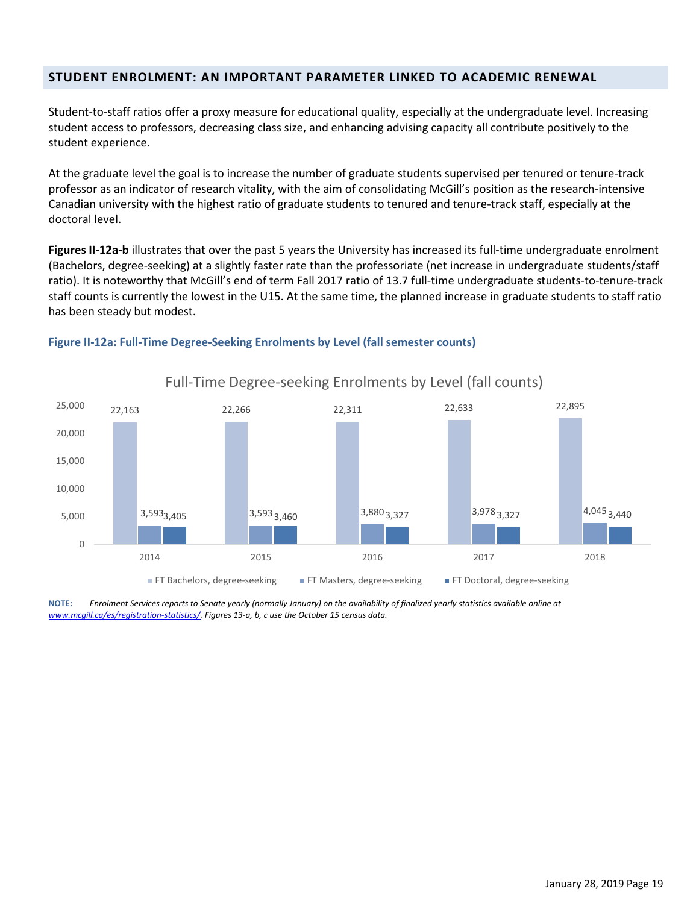## <span id="page-26-0"></span>**STUDENT ENROLMENT: AN IMPORTANT PARAMETER LINKED TO ACADEMIC RENEWAL**

Student-to-staff ratios offer a proxy measure for educational quality, especially at the undergraduate level. Increasing student access to professors, decreasing class size, and enhancing advising capacity all contribute positively to the student experience.

At the graduate level the goal is to increase the number of graduate students supervised per tenured or tenure-track professor as an indicator of research vitality, with the aim of consolidating McGill's position as the research-intensive Canadian university with the highest ratio of graduate students to tenured and tenure-track staff, especially at the doctoral level.

**Figures II-12a-b** illustrates that over the past 5 years the University has increased its full-time undergraduate enrolment (Bachelors, degree-seeking) at a slightly faster rate than the professoriate (net increase in undergraduate students/staff ratio). It is noteworthy that McGill's end of term Fall 2017 ratio of 13.7 full-time undergraduate students-to-tenure-track staff counts is currently the lowest in the U15. At the same time, the planned increase in graduate students to staff ratio has been steady but modest.



#### **Figure II-12a: Full-Time Degree-Seeking Enrolments by Level (fall semester counts)**

**NOTE:** *Enrolment Services reports to Senate yearly (normally January) on the availability of finalized yearly statistics available online at [www.mcgill.ca/es/registration-statistics/.](http://www.mcgill.ca/es/registration-statistics/) Figures 13-a, b, c use the October 15 census data.*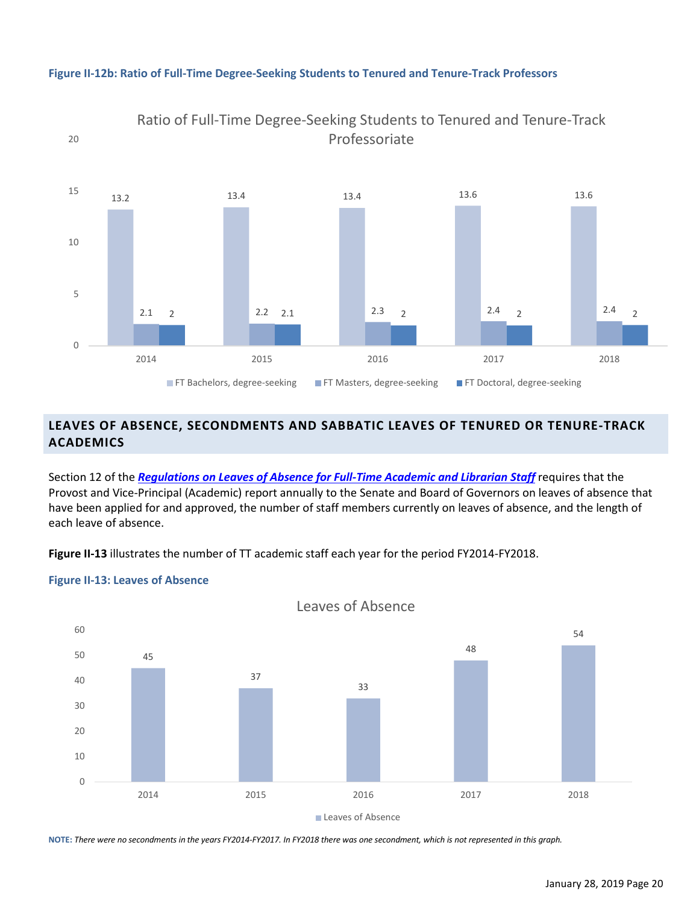

#### **Figure II-12b: Ratio of Full-Time Degree-Seeking Students to Tenured and Tenure-Track Professors**

## <span id="page-27-0"></span>**LEAVES OF ABSENCE, SECONDMENTS AND SABBATIC LEAVES OF TENURED OR TENURE-TRACK ACADEMICS**

Section 12 of the *[Regulations on Leaves of Absence for Full-Time Academic and Librarian Staff](https://mcgill.ca/secretariat/files/secretariat/regulations_on_leaves_of_absence_for_tenure_track_and_tenured_academic_staff_approved_dec_2014.pdf)* requires that the Provost and Vice-Principal (Academic) report annually to the Senate and Board of Governors on leaves of absence that have been applied for and approved, the number of staff members currently on leaves of absence, and the length of each leave of absence.

**Figure II-13** illustrates the number of TT academic staff each year for the period FY2014-FY2018.

#### **Figure II-13: Leaves of Absence**



Leaves of Absence

**NOTE:** *There were no secondments in the years FY2014-FY2017. In FY2018 there was one secondment, which is not represented in this graph.*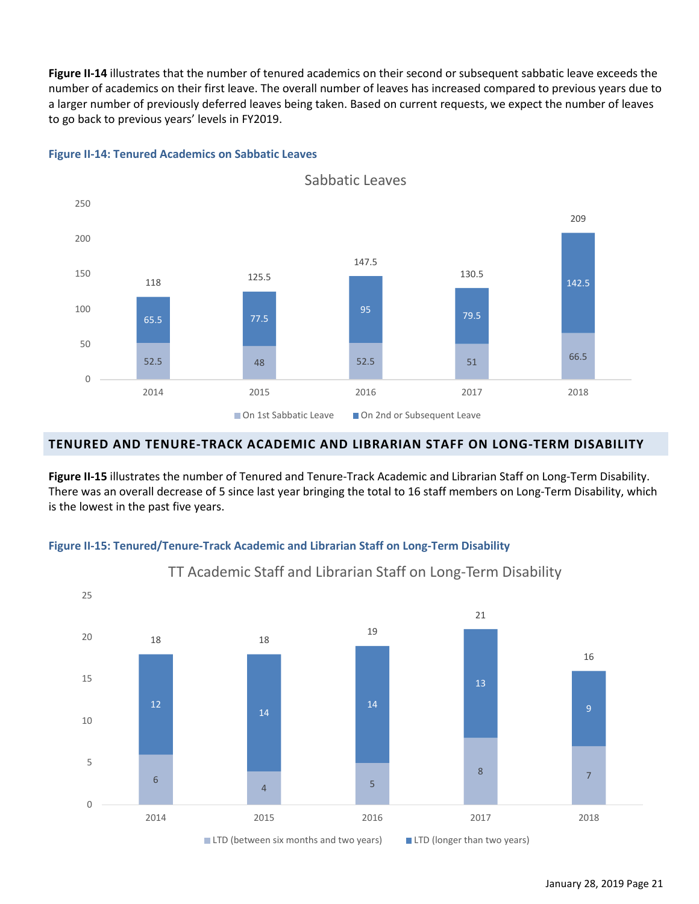**Figure II-14** illustrates that the number of tenured academics on their second or subsequent sabbatic leave exceeds the number of academics on their first leave. The overall number of leaves has increased compared to previous years due to a larger number of previously deferred leaves being taken. Based on current requests, we expect the number of leaves to go back to previous years' levels in FY2019.



#### **Figure II-14: Tenured Academics on Sabbatic Leaves**

#### <span id="page-28-0"></span>**TENURED AND TENURE-TRACK ACADEMIC AND LIBRARIAN STAFF ON LONG-TERM DISABILITY**

**Figure II-15** illustrates the number of Tenured and Tenure-Track Academic and Librarian Staff on Long-Term Disability. There was an overall decrease of 5 since last year bringing the total to 16 staff members on Long-Term Disability, which is the lowest in the past five years.

#### **Figure II-15: Tenured/Tenure-Track Academic and Librarian Staff on Long-Term Disability**



TT Academic Staff and Librarian Staff on Long-Term Disability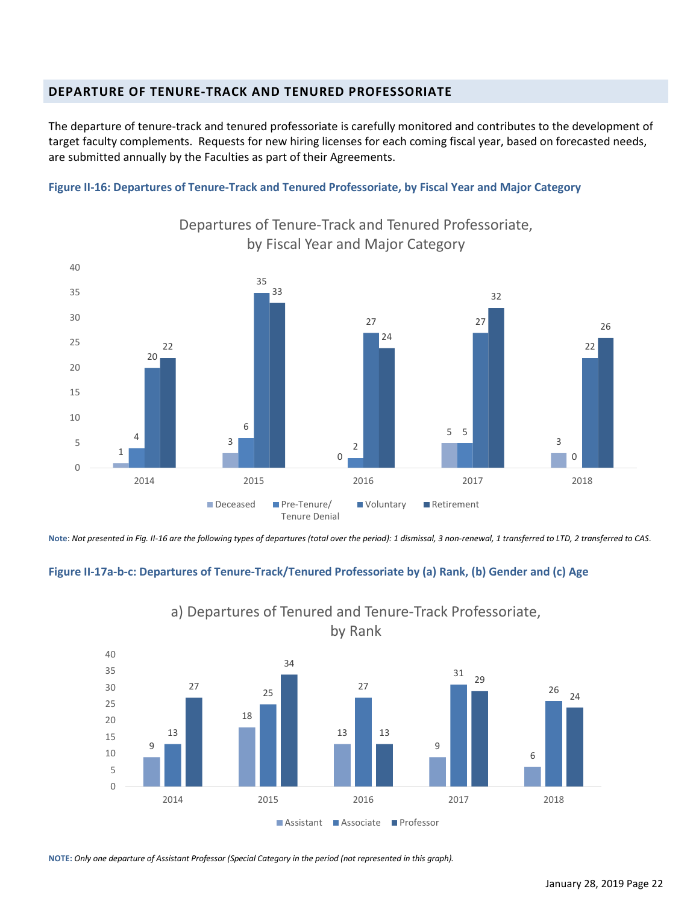## <span id="page-29-0"></span>**DEPARTURE OF TENURE-TRACK AND TENURED PROFESSORIATE**

The departure of tenure-track and tenured professoriate is carefully monitored and contributes to the development of target faculty complements. Requests for new hiring licenses for each coming fiscal year, based on forecasted needs, are submitted annually by the Faculties as part of their Agreements.

#### **Figure II-16: Departures of Tenure-Track and Tenured Professoriate, by Fiscal Year and Major Category**



Departures of Tenure-Track and Tenured Professoriate, by Fiscal Year and Major Category

**Note**: *Not presented in Fig. II-16 are the following types of departures (total over the period): 1 dismissal, 3 non-renewal, 1 transferred to LTD, 2 transferred to CAS*.

#### **Figure II-17a-b-c: Departures of Tenure-Track/Tenured Professoriate by (a) Rank, (b) Gender and (c) Age**



a) Departures of Tenured and Tenure-Track Professoriate,

**NOTE:** *Only one departure of Assistant Professor (Special Category in the period (not represented in this graph).*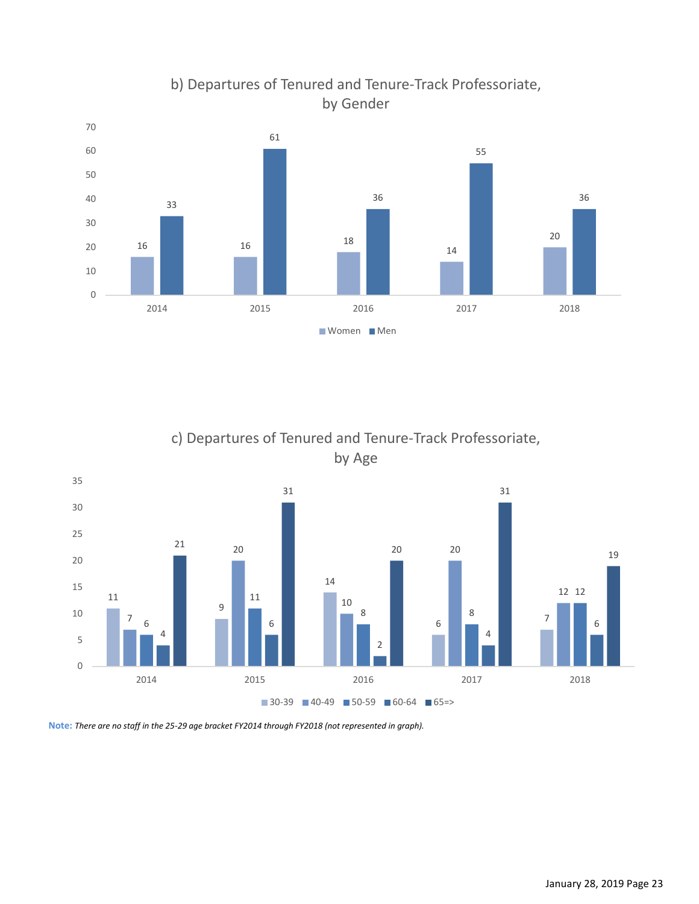

b) Departures of Tenured and Tenure-Track Professoriate, by Gender

c) Departures of Tenured and Tenure-Track Professoriate, by Age



**Note:** *There are no staff in the 25-29 age bracket FY2014 through FY2018 (not represented in graph).*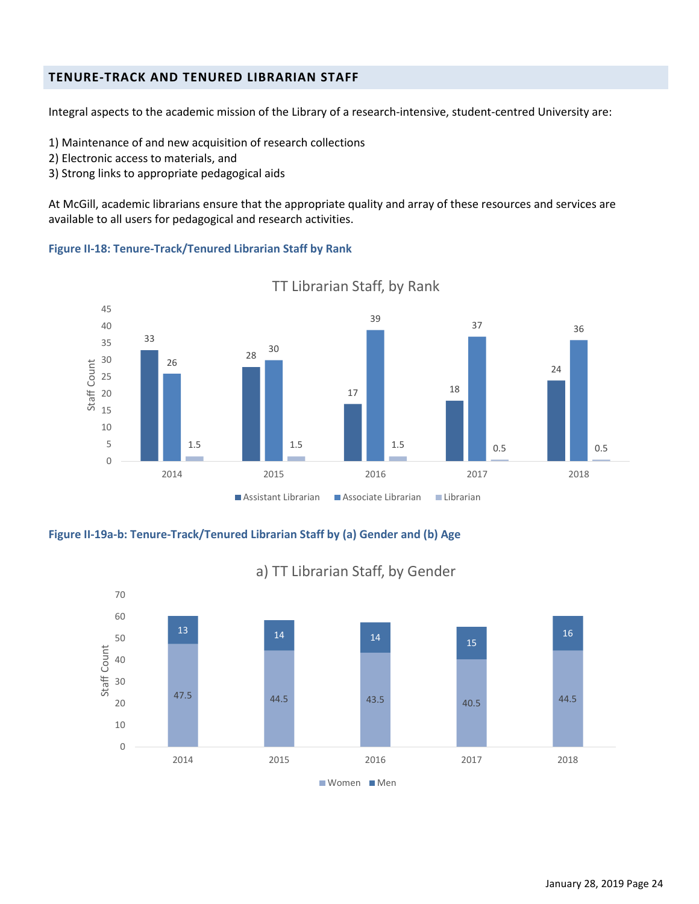## <span id="page-31-0"></span>**TENURE-TRACK AND TENURED LIBRARIAN STAFF**

Integral aspects to the academic mission of the Library of a research-intensive, student-centred University are:

- 1) Maintenance of and new acquisition of research collections
- 2) Electronic access to materials, and
- 3) Strong links to appropriate pedagogical aids

At McGill, academic librarians ensure that the appropriate quality and array of these resources and services are available to all users for pedagogical and research activities.

#### **Figure II-18: Tenure-Track/Tenured Librarian Staff by Rank**



TT Librarian Staff, by Rank

**Figure II-19a-b: Tenure-Track/Tenured Librarian Staff by (a) Gender and (b) Age**



# a) TT Librarian Staff, by Gender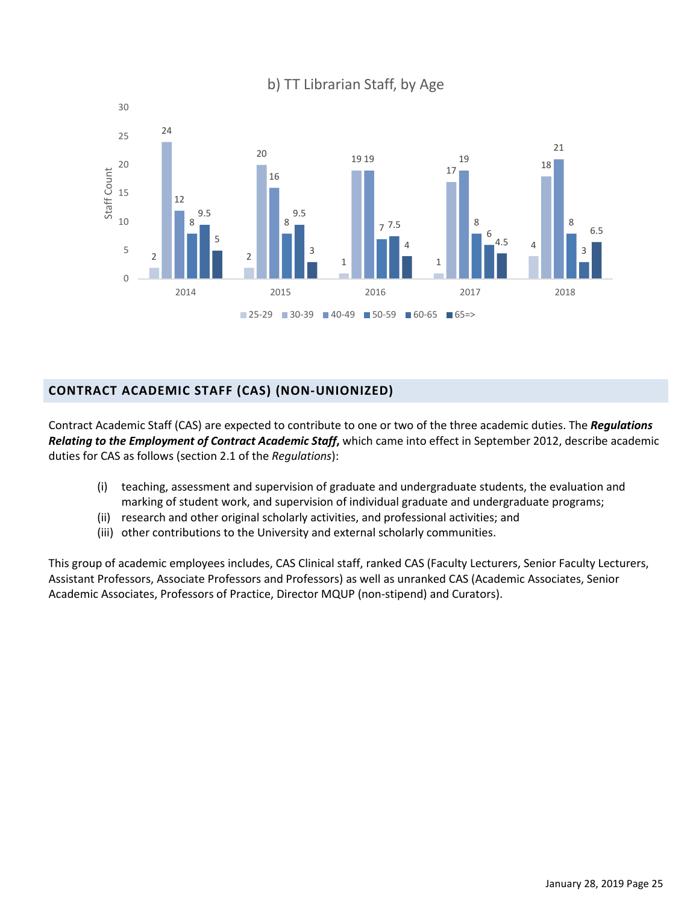

## b) TT Librarian Staff, by Age

## <span id="page-32-0"></span>**CONTRACT ACADEMIC STAFF (CAS) (NON-UNIONIZED)**

Contract Academic Staff (CAS) are expected to contribute to one or two of the three academic duties. The *Regulations Relating to the Employment of Contract Academic Staff***,** which came into effect in September 2012, describe academic duties for CAS as follows (section 2.1 of the *Regulations*):

- (i) teaching, assessment and supervision of graduate and undergraduate students, the evaluation and marking of student work, and supervision of individual graduate and undergraduate programs;
- (ii) research and other original scholarly activities, and professional activities; and
- (iii) other contributions to the University and external scholarly communities.

This group of academic employees includes, CAS Clinical staff, ranked CAS (Faculty Lecturers, Senior Faculty Lecturers, Assistant Professors, Associate Professors and Professors) as well as unranked CAS (Academic Associates, Senior Academic Associates, Professors of Practice, Director MQUP (non-stipend) and Curators).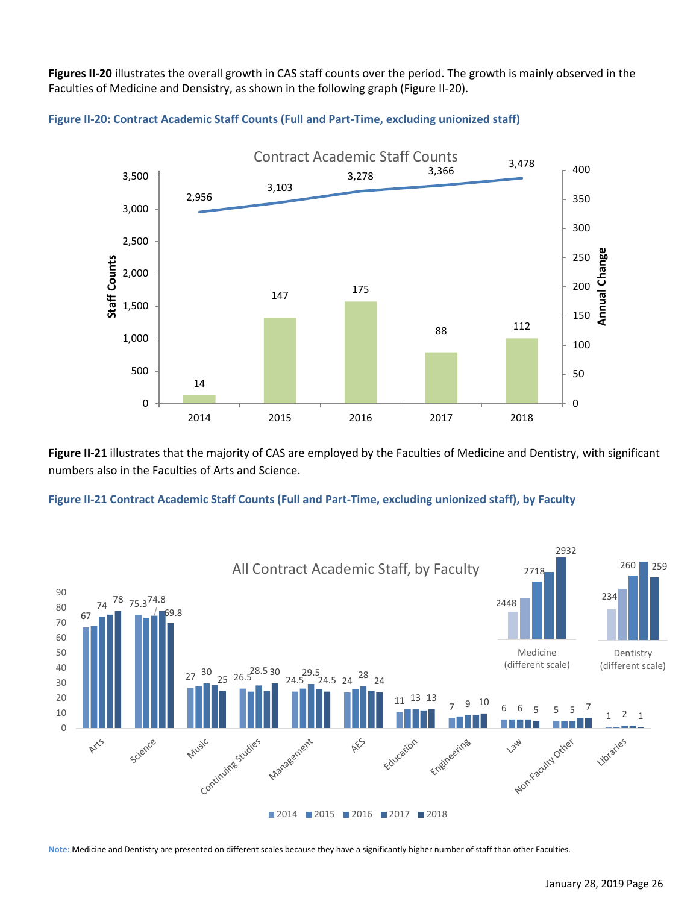**Figures II-20** illustrates the overall growth in CAS staff counts over the period. The growth is mainly observed in the Faculties of Medicine and Densistry, as shown in the following graph (Figure II-20).



**Figure II-20: Contract Academic Staff Counts (Full and Part-Time, excluding unionized staff)**

**Figure II-21** illustrates that the majority of CAS are employed by the Faculties of Medicine and Dentistry, with significant numbers also in the Faculties of Arts and Science.





**Note:** Medicine and Dentistry are presented on different scales because they have a significantly higher number of staff than other Faculties.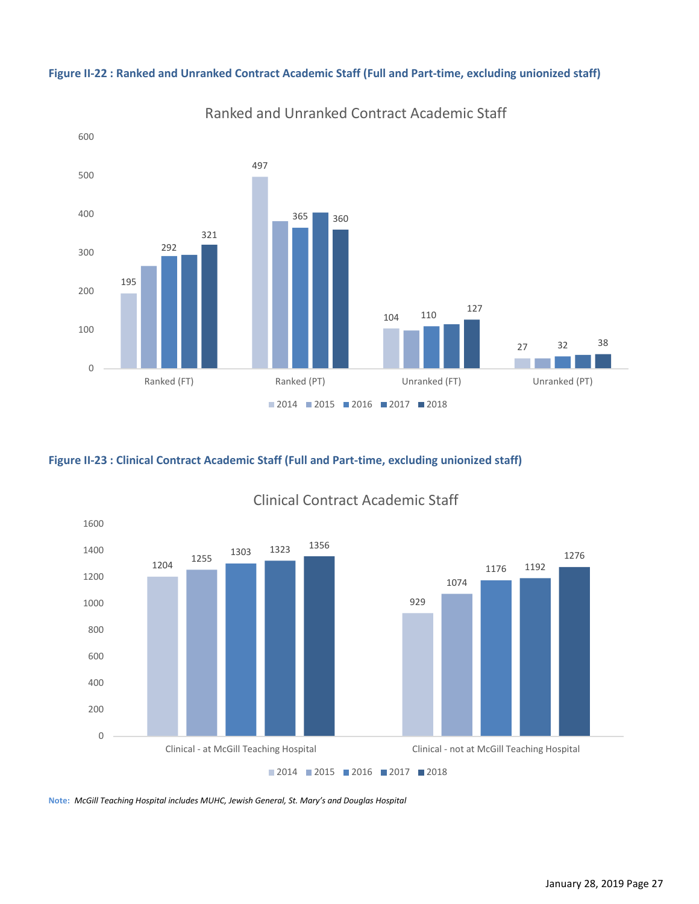

Ranked and Unranked Contract Academic Staff

#### **Figure II-22 : Ranked and Unranked Contract Academic Staff (Full and Part-time, excluding unionized staff)**

#### **Figure II-23 : Clinical Contract Academic Staff (Full and Part-time, excluding unionized staff)**



## Clinical Contract Academic Staff

**Note:** *McGill Teaching Hospital includes MUHC, Jewish General, St. Mary's and Douglas Hospital*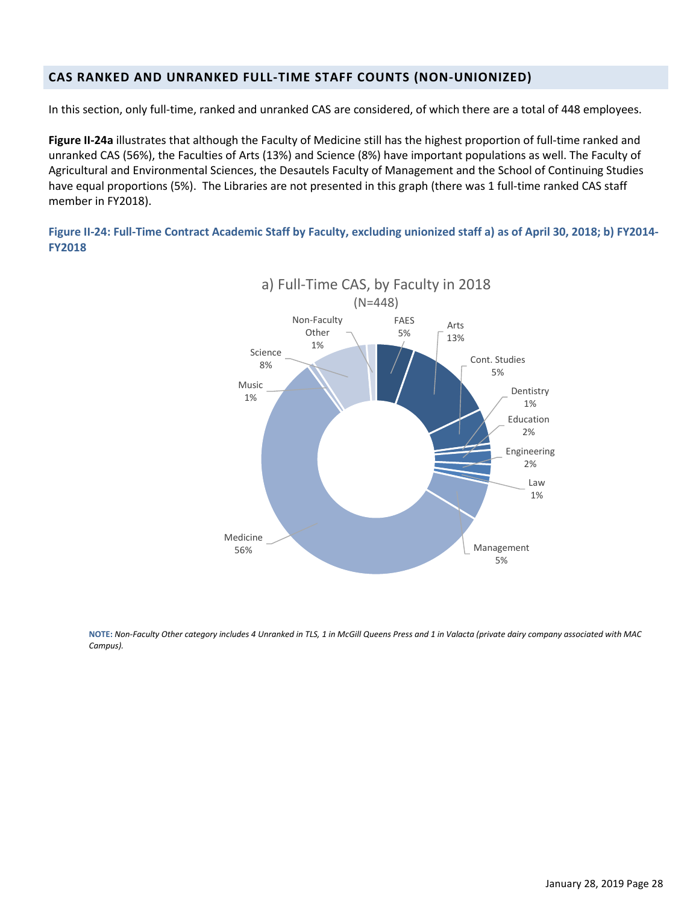## <span id="page-35-0"></span>**CAS RANKED AND UNRANKED FULL-TIME STAFF COUNTS (NON-UNIONIZED)**

In this section, only full-time, ranked and unranked CAS are considered, of which there are a total of 448 employees.

**Figure II-24a** illustrates that although the Faculty of Medicine still has the highest proportion of full-time ranked and unranked CAS (56%), the Faculties of Arts (13%) and Science (8%) have important populations as well. The Faculty of Agricultural and Environmental Sciences, the Desautels Faculty of Management and the School of Continuing Studies have equal proportions (5%). The Libraries are not presented in this graph (there was 1 full-time ranked CAS staff member in FY2018).

**Figure II-24: Full-Time Contract Academic Staff by Faculty, excluding unionized staff a) as of April 30, 2018; b) FY2014- FY2018**



**NOTE:** *Non-Faculty Other category includes 4 Unranked in TLS, 1 in McGill Queens Press and 1 in Valacta (private dairy company associated with MAC Campus).*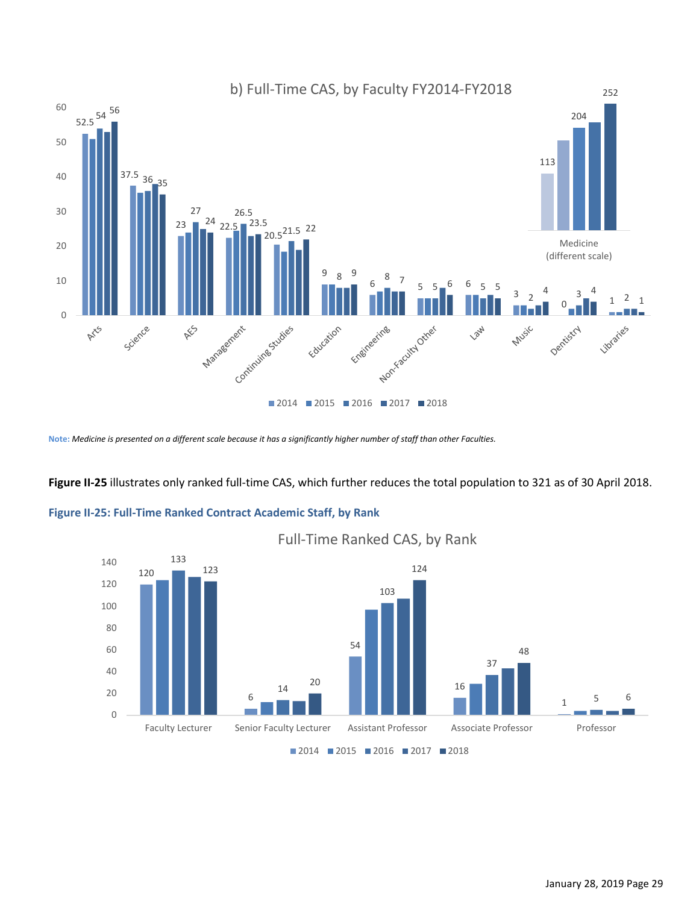

**Note:** *Medicine is presented on a different scale because it has a significantly higher number of staff than other Faculties.*

#### **Figure II-25** illustrates only ranked full-time CAS, which further reduces the total population to 321 as of 30 April 2018.

#### **Figure II-25: Full-Time Ranked Contract Academic Staff, by Rank**



Full-Time Ranked CAS, by Rank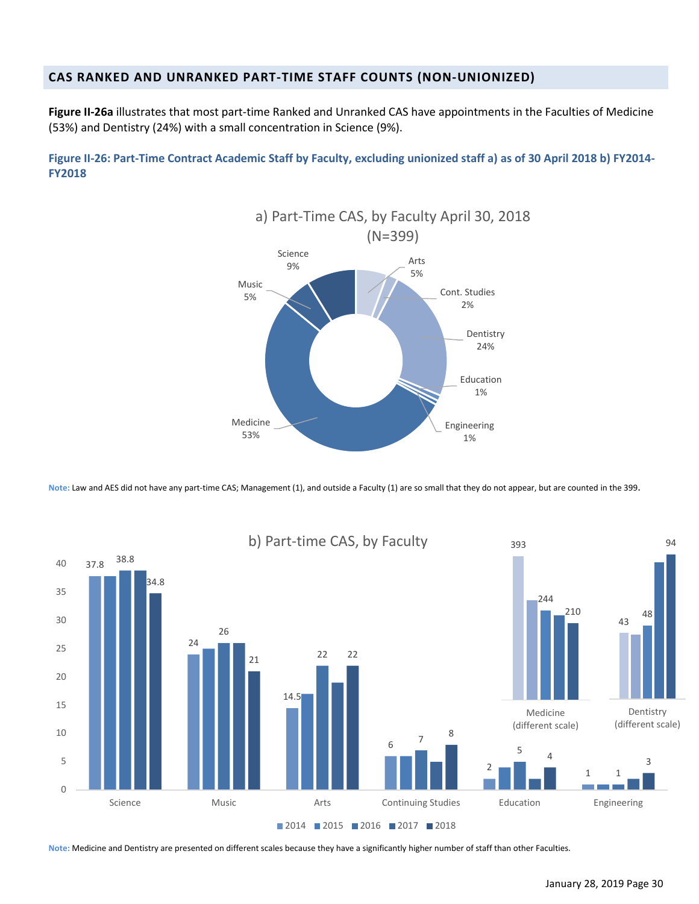## <span id="page-37-0"></span>**CAS RANKED AND UNRANKED PART-TIME STAFF COUNTS (NON-UNIONIZED)**

**Figure II-26a** illustrates that most part-time Ranked and Unranked CAS have appointments in the Faculties of Medicine (53%) and Dentistry (24%) with a small concentration in Science (9%).

**Figure II-26: Part-Time Contract Academic Staff by Faculty, excluding unionized staff a) as of 30 April 2018 b) FY2014- FY2018**



**Note:** Law and AES did not have any part-time CAS; Management (1), and outside a Faculty (1) are so small that they do not appear, but are counted in the 399.



**Note:** Medicine and Dentistry are presented on different scales because they have a significantly higher number of staff than other Faculties.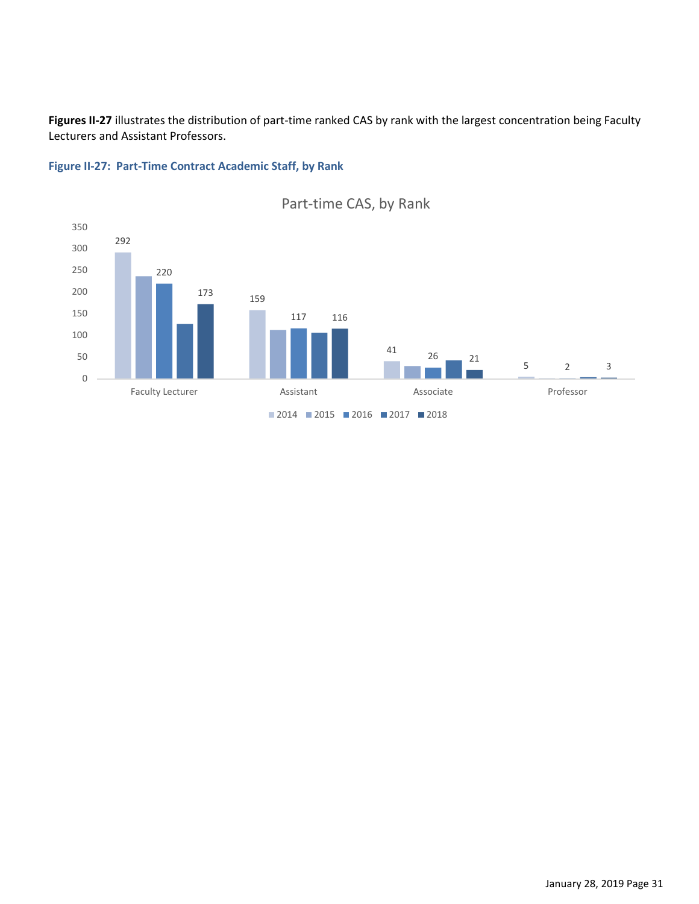**Figures II-27** illustrates the distribution of part-time ranked CAS by rank with the largest concentration being Faculty Lecturers and Assistant Professors.





# Part-time CAS, by Rank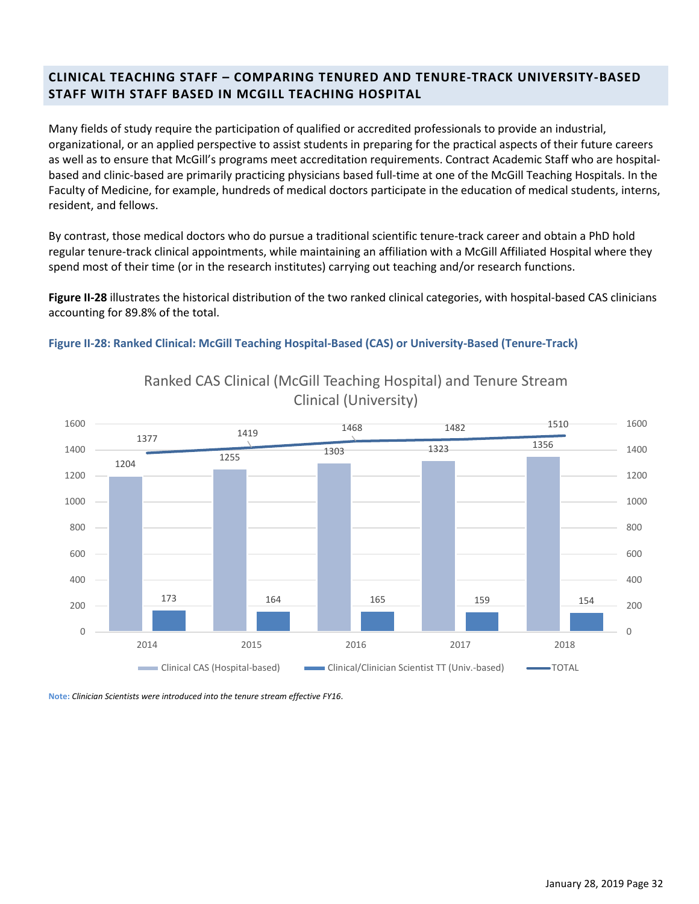## <span id="page-39-0"></span>**CLINICAL TEACHING STAFF – COMPARING TENURED AND TENURE-TRACK UNIVERSITY-BASED STAFF WITH STAFF BASED IN MCGILL TEACHING HOSPITAL**

Many fields of study require the participation of qualified or accredited professionals to provide an industrial, organizational, or an applied perspective to assist students in preparing for the practical aspects of their future careers as well as to ensure that McGill's programs meet accreditation requirements. Contract Academic Staff who are hospitalbased and clinic-based are primarily practicing physicians based full-time at one of the McGill Teaching Hospitals. In the Faculty of Medicine, for example, hundreds of medical doctors participate in the education of medical students, interns, resident, and fellows.

By contrast, those medical doctors who do pursue a traditional scientific tenure-track career and obtain a PhD hold regular tenure-track clinical appointments, while maintaining an affiliation with a McGill Affiliated Hospital where they spend most of their time (or in the research institutes) carrying out teaching and/or research functions.

**Figure II-28** illustrates the historical distribution of the two ranked clinical categories, with hospital-based CAS clinicians accounting for 89.8% of the total.

**Figure II-28: Ranked Clinical: McGill Teaching Hospital-Based (CAS) or University-Based (Tenure-Track)**



# Ranked CAS Clinical (McGill Teaching Hospital) and Tenure Stream Clinical (University)

**Note:** *Clinician Scientists were introduced into the tenure stream effective FY16*.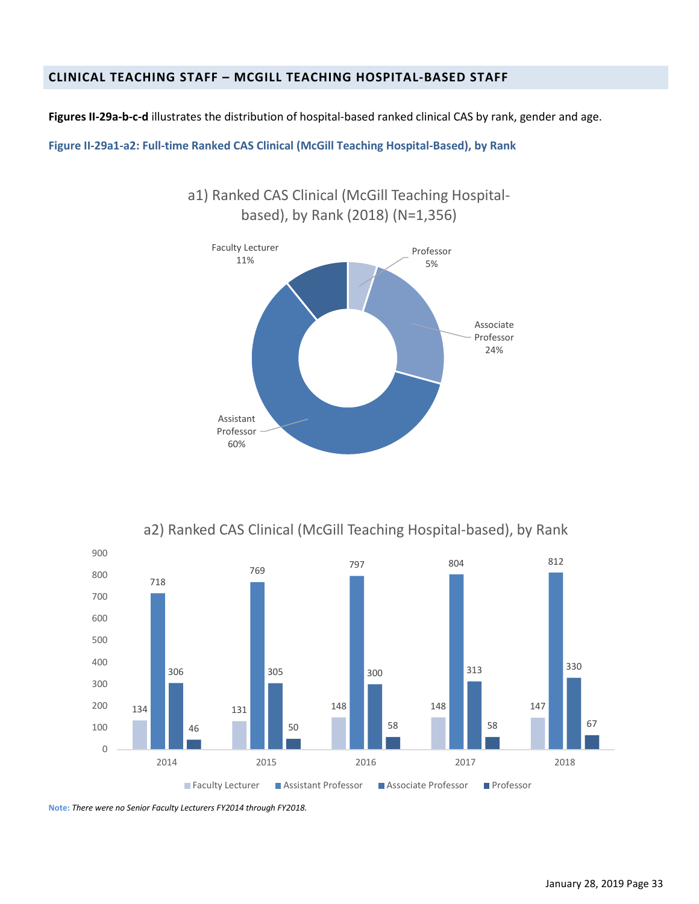## <span id="page-40-0"></span>**CLINICAL TEACHING STAFF – MCGILL TEACHING HOSPITAL-BASED STAFF**

**Figures II-29a-b-c-d** illustrates the distribution of hospital-based ranked clinical CAS by rank, gender and age.

a1) Ranked CAS Clinical (McGill Teaching Hospital-

**Figure II-29a1-a2: Full-time Ranked CAS Clinical (McGill Teaching Hospital-Based), by Rank**



a2) Ranked CAS Clinical (McGill Teaching Hospital-based), by Rank



**Note:** *There were no Senior Faculty Lecturers FY2014 through FY2018.*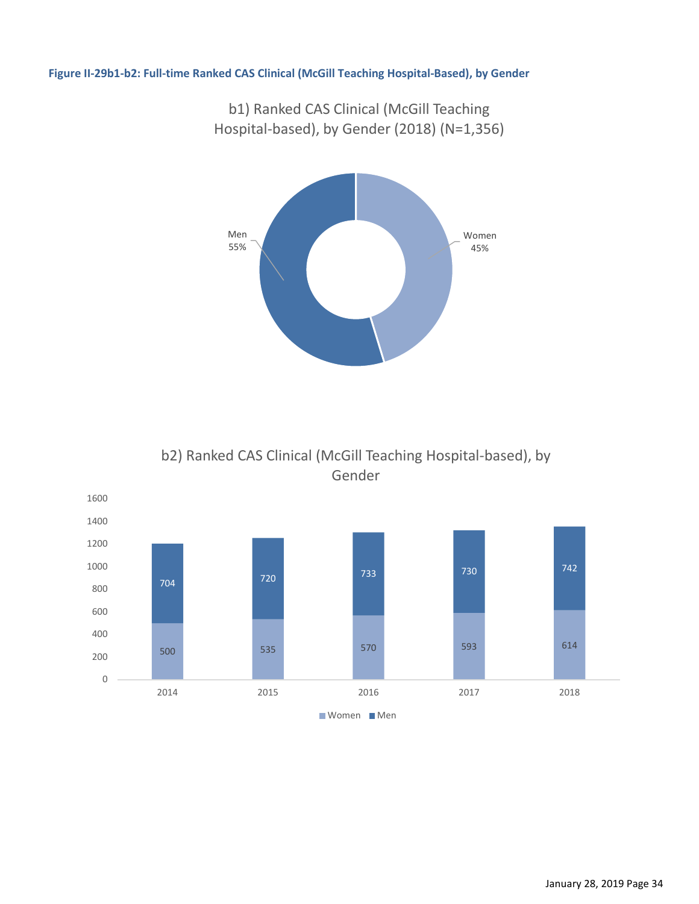#### **Figure II-29b1-b2: Full-time Ranked CAS Clinical (McGill Teaching Hospital-Based), by Gender**

Women 45% Men 55%

b2) Ranked CAS Clinical (McGill Teaching Hospital-based), by Gender



b1) Ranked CAS Clinical (McGill Teaching Hospital-based), by Gender (2018) (N=1,356)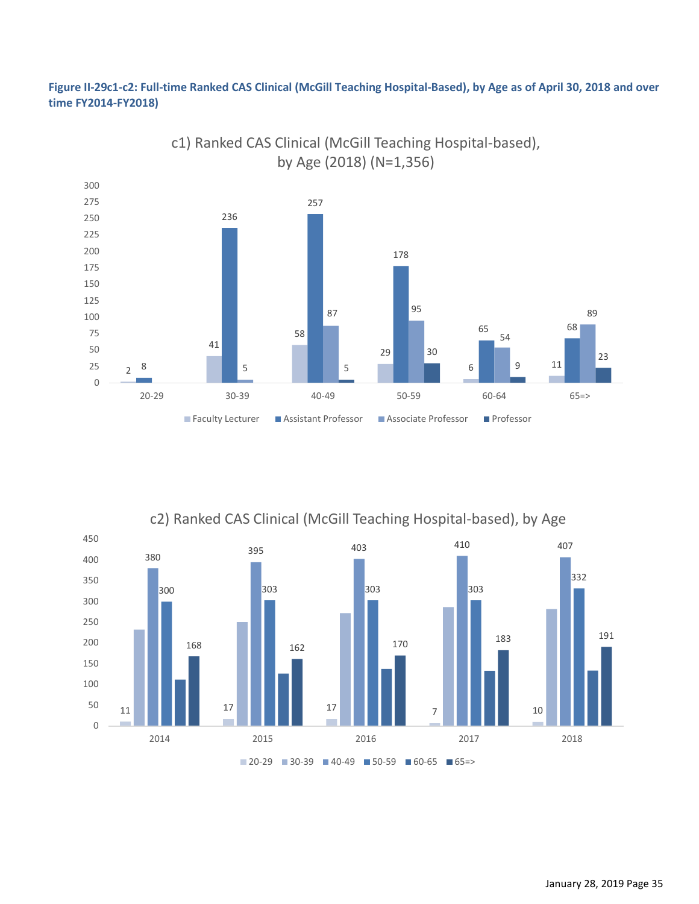#### **Figure II-29c1-c2: Full-time Ranked CAS Clinical (McGill Teaching Hospital-Based), by Age as of April 30, 2018 and over time FY2014-FY2018)**



c1) Ranked CAS Clinical (McGill Teaching Hospital-based), by Age (2018) (N=1,356)

c2) Ranked CAS Clinical (McGill Teaching Hospital-based), by Age

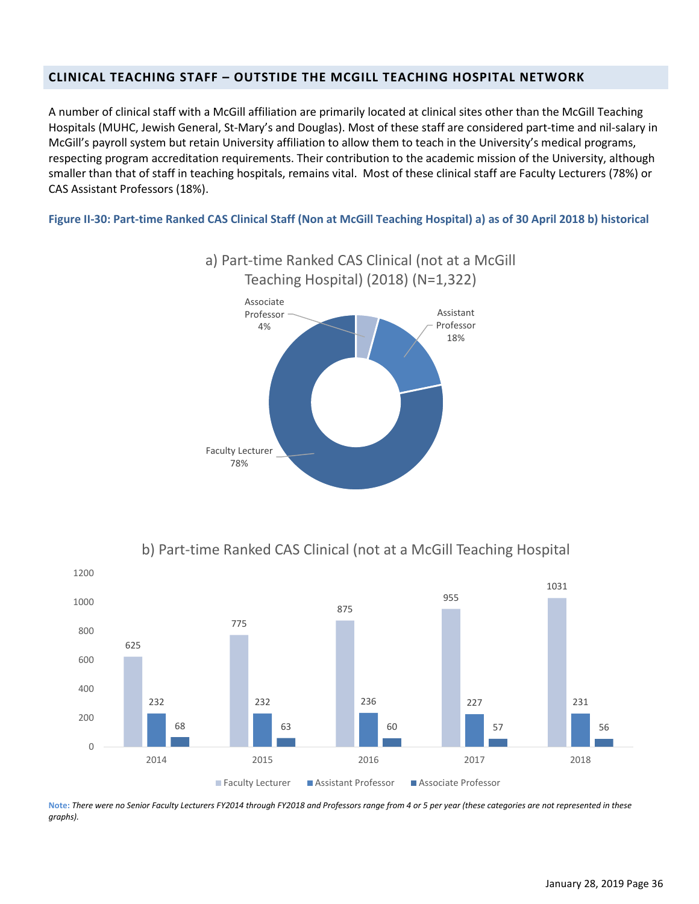## <span id="page-43-0"></span>**CLINICAL TEACHING STAFF – OUTSTIDE THE MCGILL TEACHING HOSPITAL NETWORK**

A number of clinical staff with a McGill affiliation are primarily located at clinical sites other than the McGill Teaching Hospitals (MUHC, Jewish General, St-Mary's and Douglas). Most of these staff are considered part-time and nil-salary in McGill's payroll system but retain University affiliation to allow them to teach in the University's medical programs, respecting program accreditation requirements. Their contribution to the academic mission of the University, although smaller than that of staff in teaching hospitals, remains vital. Most of these clinical staff are Faculty Lecturers (78%) or CAS Assistant Professors (18%).

**Figure II-30: Part-time Ranked CAS Clinical Staff (Non at McGill Teaching Hospital) a) as of 30 April 2018 b) historical**



b) Part-time Ranked CAS Clinical (not at a McGill Teaching Hospital



**Note:** *There were no Senior Faculty Lecturers FY2014 through FY2018 and Professors range from 4 or 5 per year (these categories are not represented in these graphs).*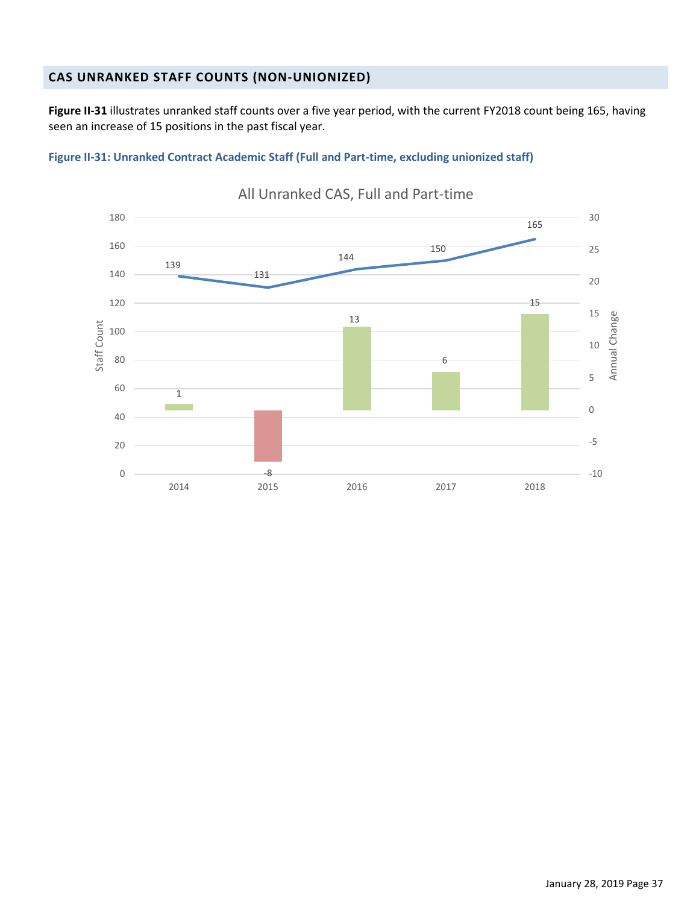## <span id="page-44-0"></span>**CAS UNRANKED STAFF COUNTS (NON-UNIONIZED)**

**Figure II-31** illustrates unranked staff counts over a five year period, with the current FY2018 count being 165, having seen an increase of 15 positions in the past fiscal year.

#### **Figure II-31: Unranked Contract Academic Staff (Full and Part-time, excluding unionized staff)**



## All Unranked CAS, Full and Part-time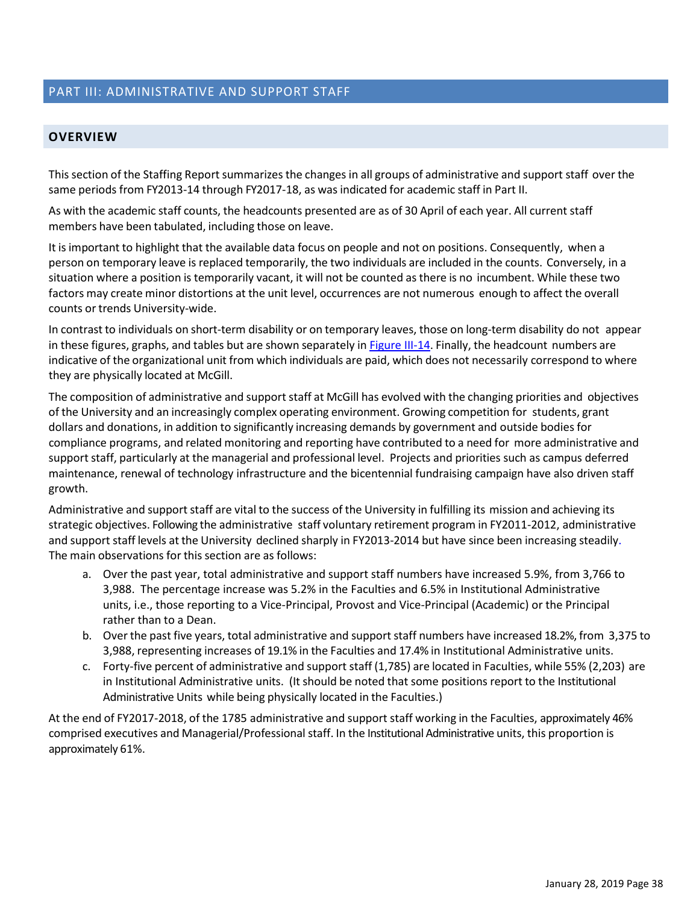## <span id="page-45-0"></span>PART III: ADMINISTRATIVE AND SUPPORT STAFF

#### <span id="page-45-1"></span>**OVERVIEW**

This section of the Staffing Report summarizes the changes in all groups of administrative and support staff over the same periods from FY2013-14 through FY2017-18, as was indicated for academic staff in Part II.

As with the academic staff counts, the headcounts presented are as of 30 April of each year. All current staff members have been tabulated, including those on leave.

It is important to highlight that the available data focus on people and not on positions. Consequently, when a person on temporary leave is replaced temporarily, the two individuals are included in the counts. Conversely, in a situation where a position is temporarily vacant, it will not be counted as there is no incumbent. While these two factors may create minor distortions at the unit level, occurrences are not numerous enough to affect the overall counts or trends University-wide.

In contrast to individuals on short-term disability or on temporary leaves, those on long-term disability do not appear in these figures, graphs, and tables but are shown separately in Figure III-14. Finally, the headcount numbers are indicative of the organizational unit from which individuals are paid, which does not necessarily correspond to where they are physically located at McGill.

The composition of administrative and support staff at McGill has evolved with the changing priorities and objectives of the University and an increasingly complex operating environment. Growing competition for students, grant dollars and donations, in addition to significantly increasing demands by government and outside bodies for compliance programs, and related monitoring and reporting have contributed to a need for more administrative and support staff, particularly at the managerial and professional level. Projects and priorities such as campus deferred maintenance, renewal of technology infrastructure and the bicentennial fundraising campaign have also driven staff growth.

Administrative and support staff are vital to the success of the University in fulfilling its mission and achieving its strategic objectives. Following the administrative staff voluntary retirement program in FY2011-2012, administrative and support staff levels at the University declined sharply in FY2013-2014 but have since been increasing steadily. The main observations for this section are as follows:

- a. Over the past year, total administrative and support staff numbers have increased 5.9%, from 3,766 to 3,988. The percentage increase was 5.2% in the Faculties and 6.5% in Institutional Administrative units, i.e., those reporting to a Vice-Principal, Provost and Vice-Principal (Academic) or the Principal rather than to a Dean.
- b. Over the past five years, total administrative and support staff numbers have increased 18.2%, from 3,375 to 3,988, representing increases of 19.1% in the Faculties and 17.4% in Institutional Administrative units.
- c. Forty-five percent of administrative and support staff (1,785) are located in Faculties, while 55% (2,203) are in Institutional Administrative units. (It should be noted that some positions report to the Institutional Administrative Units while being physically located in the Faculties.)

At the end of FY2017-2018, of the 1785 administrative and support staff working in the Faculties, approximately 46% comprised executives and Managerial/Professional staff. In the Institutional Administrative units, this proportion is approximately 61%.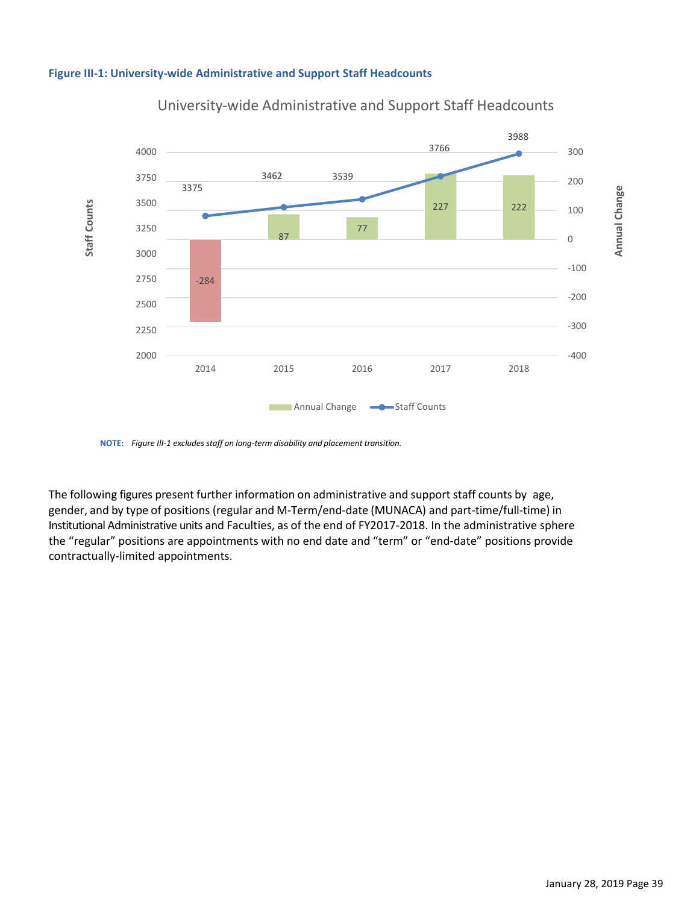<span id="page-46-0"></span>



## University-wide Administrative and Support Staff Headcounts

 **NOTE:** Figure III-1 excludes staff on long-term disability and placement transition.

The following figures present further information on administrative and support staff counts by age, gender, and by type of positions (regular and M-Term/end-date (MUNACA) and part-time/full-time) in Institutional Administrative units and Faculties, as of the end of FY2017-2018. In the administrative sphere the "regular" positions are appointments with no end date and "term" or "end-date" positions provide contractually-limited appointments.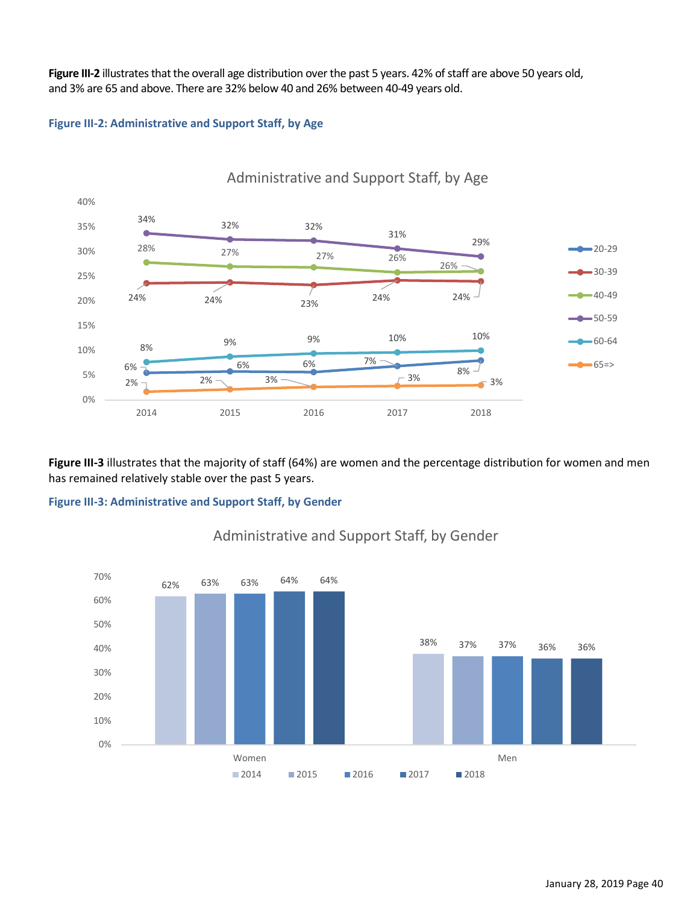**Figure III-2** illustrates that the overall age distribution over the past 5 years. 42% of staff are above 50 years old, and 3% are 65 and above. There are 32% below 40 and 26% between 40-49 years old.

#### **Figure III-2: Administrative and Support Staff, by Age**



**Figure III-3** illustrates that the majority of staff (64%) are women and the percentage distribution for women and men has remained relatively stable over the past 5 years.

#### **Figure III-3: Administrative and Support Staff, by Gender**



## Administrative and Support Staff, by Gender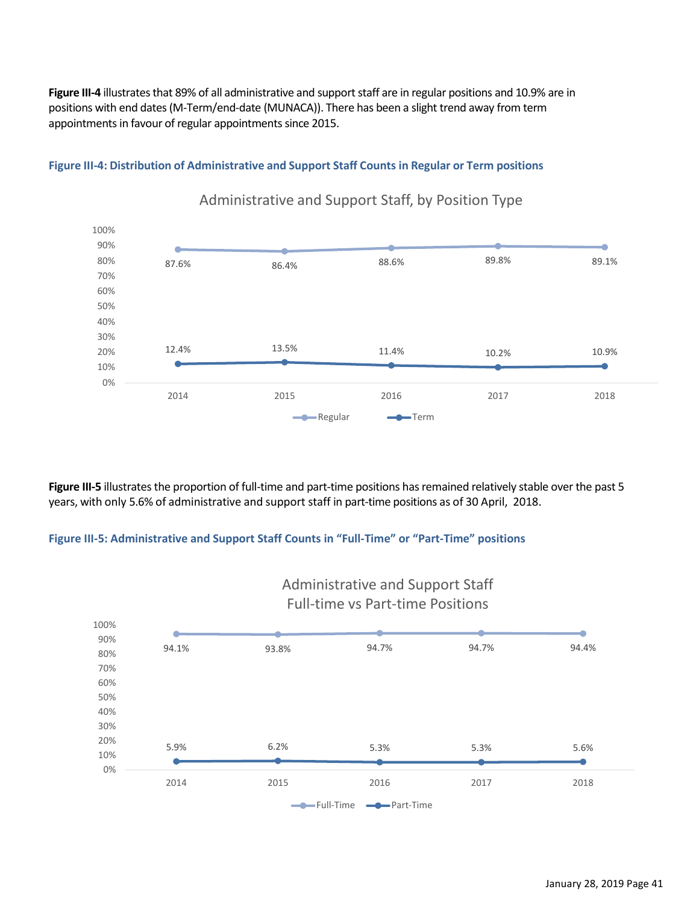**Figure III-4** illustrates that 89% of all administrative and support staff are in regular positions and 10.9% are in positions with end dates (M-Term/end-date (MUNACA)). There has been a slight trend away from term appointments in favour of regular appointments since 2015.

**Figure III-4: Distribution of Administrative and Support Staff Counts in Regular or Term positions**



# Administrative and Support Staff, by Position Type

**Figure III-5** illustrates the proportion of full-time and part-time positions has remained relatively stable over the past 5 years, with only 5.6% of administrative and support staff in part-time positions as of 30 April, 2018.

#### **Figure III-5: Administrative and Support Staff Counts in "Full-Time" or "Part-Time" positions**

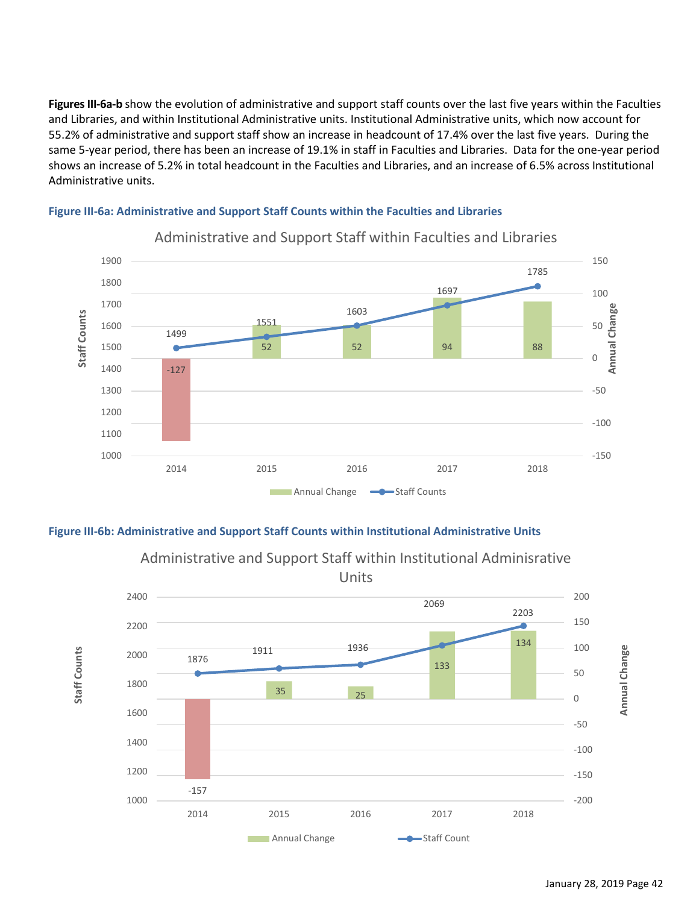Figures III-6a-b show the evolution of administrative and support staff counts over the last five years within the Faculties and Libraries, and within Institutional Administrative units. Institutional Administrative units, which now account for 55.2% of administrative and support staff show an increase in headcount of 17.4% over the last five years. During the same 5-year period, there has been an increase of 19.1% in staff in Faculties and Libraries. Data for the one-year period shows an increase of 5.2% in total headcount in the Faculties and Libraries, and an increase of 6.5% across Institutional Administrative units.



#### <span id="page-49-0"></span>**Figure III-6a: Administrative and Support Staff Counts within the Faculties and Libraries**

<span id="page-49-1"></span>**Figure III-6b: Administrative and Support Staff Counts within Institutional Administrative Units**

**Staff Counts**

Staff Counts



Administrative and Support Staff within Institutional Adminisrative Units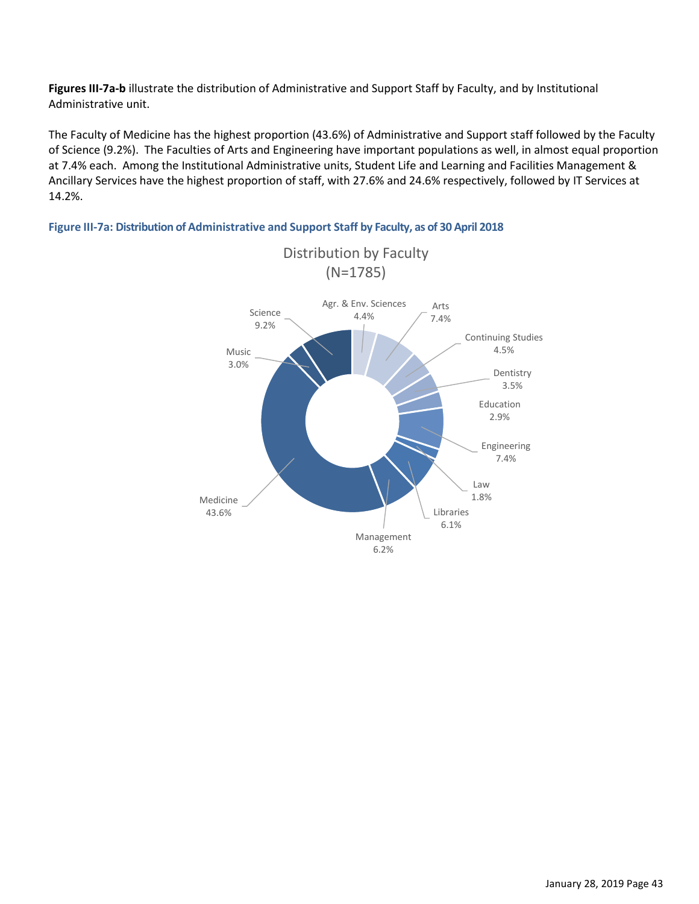**Figures III-7a-b** illustrate the distribution of Administrative and Support Staff by Faculty, and by Institutional Administrative unit.

The Faculty of Medicine has the highest proportion (43.6%) of Administrative and Support staff followed by the Faculty of Science (9.2%). The Faculties of Arts and Engineering have important populations as well, in almost equal proportion at 7.4% each. Among the Institutional Administrative units, Student Life and Learning and Facilities Management & Ancillary Services have the highest proportion of staff, with 27.6% and 24.6% respectively, followed by IT Services at 14.2%.



**Figure III-7a: Distribution of Administrative and Support Staff by Faculty, as of 30 April 2018**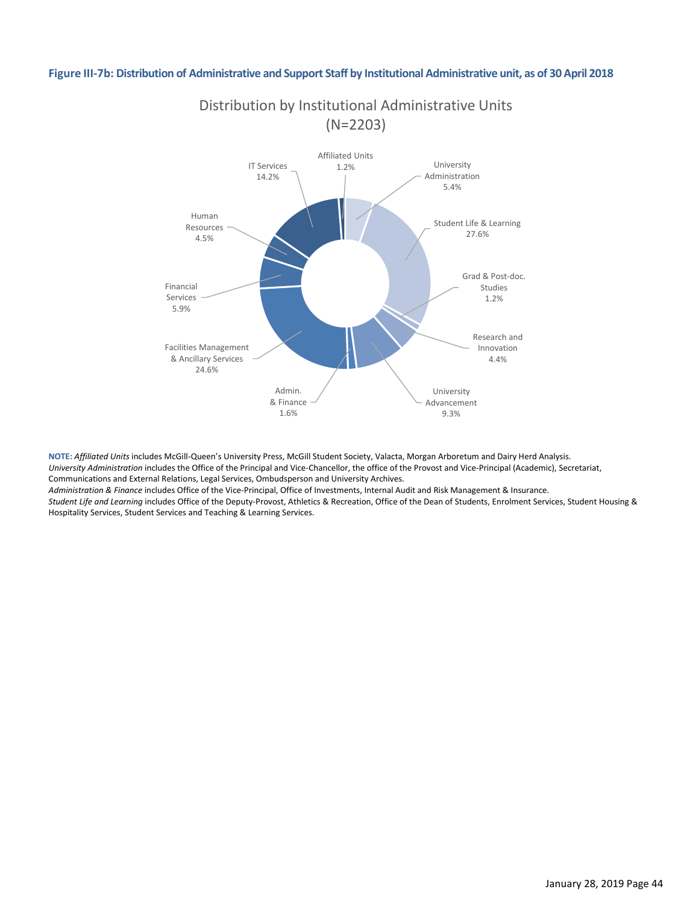#### **Figure III-7b: Distribution of Administrative and Support Staff by Institutional Administrative unit, as of 30 April 2018**



**NOTE:** *Affiliated Units* includes McGill-Queen's University Press, McGill Student Society, Valacta, Morgan Arboretum and Dairy Herd Analysis. *University Administration* includes the Office of the Principal and Vice-Chancellor, the office of the Provost and Vice-Principal (Academic), Secretariat, Communications and External Relations, Legal Services, Ombudsperson and University Archives. *Administration & Finance* includes Office of the Vice-Principal, Office of Investments, Internal Audit and Risk Management & Insurance.

*Student Life and Learning* includes Office of the Deputy-Provost, Athletics & Recreation, Office of the Dean of Students, Enrolment Services, Student Housing & Hospitality Services, Student Services and Teaching & Learning Services.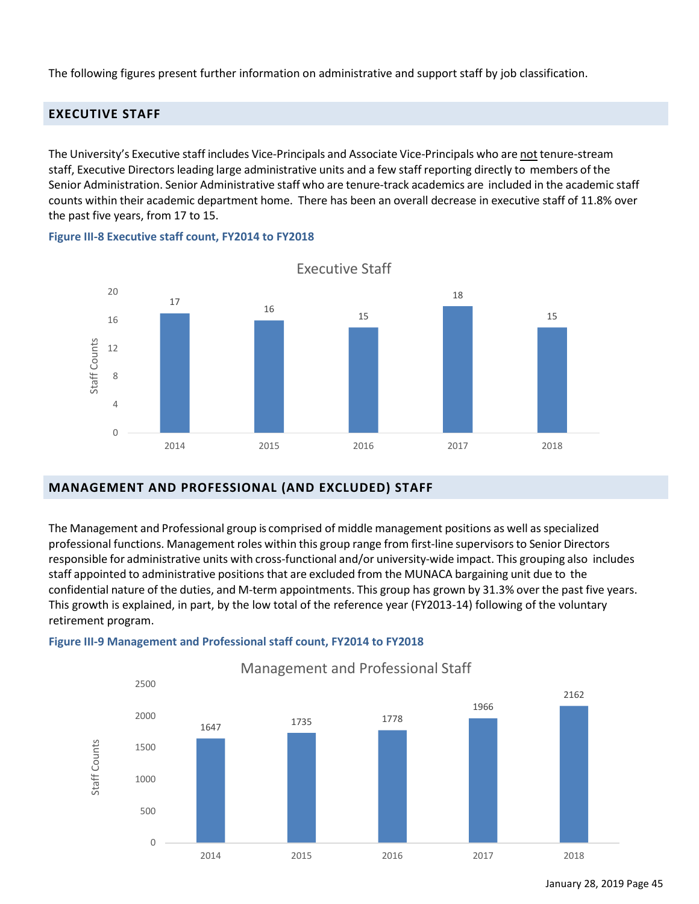The following figures present further information on administrative and support staff by job classification.

## <span id="page-52-0"></span>**EXECUTIVE STAFF**

The University's Executive staff includes Vice-Principals and Associate Vice-Principals who are not tenure-stream staff, Executive Directors leading large administrative units and a few staff reporting directly to members of the Senior Administration. Senior Administrative staff who are tenure-track academics are included in the academic staff counts within their academic department home. There has been an overall decrease in executive staff of 11.8% over the past five years, from 17 to 15.



**Figure III-8 Executive staff count, FY2014 to FY2018** 

#### <span id="page-52-1"></span>**MANAGEMENT AND PROFESSIONAL (AND EXCLUDED) STAFF**

The Management and Professional group is comprised of middle management positions as well as specialized professional functions. Management roles within this group range from first-line supervisorsto Senior Directors responsible for administrative units with cross-functional and/or university-wide impact. This grouping also includes staff appointed to administrative positions that are excluded from the MUNACA bargaining unit due to the confidential nature of the duties, and M-term appointments. This group has grown by 31.3% over the past five years. This growth is explained, in part, by the low total of the reference year (FY2013-14) following of the voluntary retirement program.

#### **Figure III-9 Management and Professional staff count, FY2014 to FY2018**



Management and Professional Staff

January 28, 2019 Page 45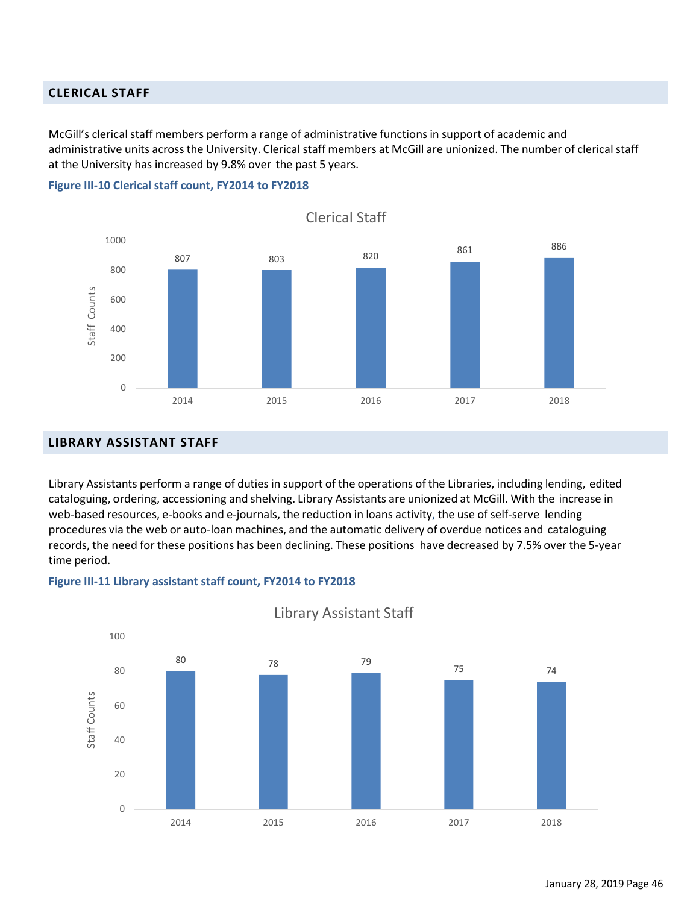#### <span id="page-53-0"></span>**CLERICAL STAFF**

McGill's clerical staff members perform a range of administrative functions in support of academic and administrative units across the University. Clerical staff members at McGill are unionized. The number of clerical staff at the University has increased by 9.8% over the past 5 years.



**Figure III-10 Clerical staff count, FY2014 to FY2018**

#### <span id="page-53-1"></span>**LIBRARY ASSISTANT STAFF**

Library Assistants perform a range of duties in support of the operations of the Libraries, including lending, edited cataloguing, ordering, accessioning and shelving. Library Assistants are unionized at McGill. With the increase in web-based resources, e-books and e-journals, the reduction in loans activity, the use of self-serve lending procedures via the web or auto-loan machines, and the automatic delivery of overdue notices and cataloguing records, the need for these positions has been declining. These positions have decreased by 7.5% over the 5-year time period.





Library Assistant Staff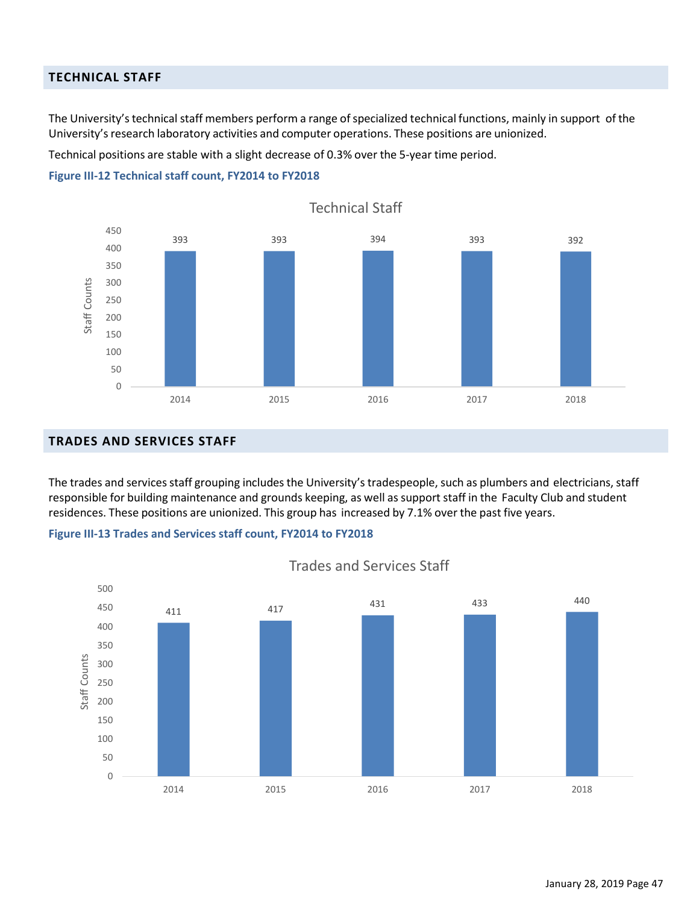## <span id="page-54-0"></span>**TECHNICAL STAFF**

The University's technical staff members perform a range of specialized technical functions, mainly in support of the University's research laboratory activities and computer operations. These positions are unionized.

Technical positions are stable with a slight decrease of 0.3% over the 5-year time period.

#### **Figure III-12 Technical staff count, FY2014 to FY2018**



#### <span id="page-54-1"></span>**TRADES AND SERVICES STAFF**

The trades and services staff grouping includes the University's tradespeople, such as plumbers and electricians, staff responsible for building maintenance and grounds keeping, as well as support staff in the Faculty Club and student residences. These positions are unionized. This group has increased by 7.1% over the past five years.





Trades and Services Staff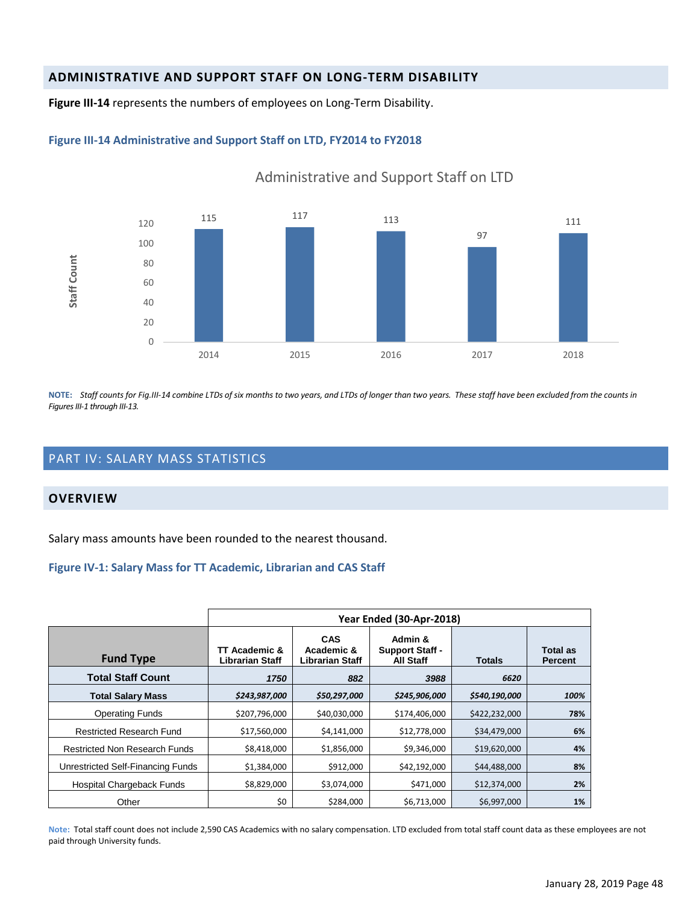## <span id="page-55-0"></span>**ADMINISTRATIVE AND SUPPORT STAFF ON LONG-TERM DISABILITY**

**Figure III-14** represents the numbers of employees on Long-Term Disability.

#### **Figure III-14 Administrative and Support Staff on LTD, FY2014 to FY2018**



Administrative and Support Staff on LTD

NOTE: Staff counts for Fig.III-14 combine LTDs of six months to two years, and LTDs of longer than two years. These staff have been excluded from the counts in *Figures III-1 through III-13.*

## <span id="page-55-1"></span>PART IV: SALARY MASS STATISTICS

#### <span id="page-55-2"></span>**OVERVIEW**

Salary mass amounts have been rounded to the nearest thousand.

#### **Figure IV-1: Salary Mass for TT Academic, Librarian and CAS Staff**

|                                      | Year Ended (30-Apr-2018)         |                                                    |                                                       |               |                            |  |  |  |
|--------------------------------------|----------------------------------|----------------------------------------------------|-------------------------------------------------------|---------------|----------------------------|--|--|--|
| <b>Fund Type</b>                     | TT Academic &<br>Librarian Staff | <b>CAS</b><br>Academic &<br><b>Librarian Staff</b> | Admin &<br><b>Support Staff -</b><br><b>All Staff</b> | <b>Totals</b> | Total as<br><b>Percent</b> |  |  |  |
| <b>Total Staff Count</b>             | 1750                             | 882                                                | 3988                                                  | 6620          |                            |  |  |  |
| <b>Total Salary Mass</b>             | \$243,987,000                    | \$50,297,000                                       | \$245,906,000                                         | \$540,190,000 | 100%                       |  |  |  |
| <b>Operating Funds</b>               | \$207,796,000                    | \$40,030,000                                       | \$174,406,000                                         | \$422,232,000 | 78%                        |  |  |  |
| <b>Restricted Research Fund</b>      | \$17,560,000                     | \$4,141,000                                        | \$12,778,000                                          | \$34,479,000  | 6%                         |  |  |  |
| <b>Restricted Non Research Funds</b> | \$8,418,000                      | \$1,856,000                                        | \$9,346,000                                           | \$19,620,000  | 4%                         |  |  |  |
| Unrestricted Self-Financing Funds    | \$1,384,000                      | \$912,000                                          | \$42,192,000                                          | \$44,488,000  | 8%                         |  |  |  |
| Hospital Chargeback Funds            | \$8,829,000                      | \$3,074,000                                        | \$471,000                                             | \$12,374,000  | 2%                         |  |  |  |
| Other                                | \$0                              | \$284,000                                          | \$6,713,000                                           | \$6,997,000   | 1%                         |  |  |  |

**Note:** Total staff count does not include 2,590 CAS Academics with no salary compensation. LTD excluded from total staff count data as these employees are not paid through University funds.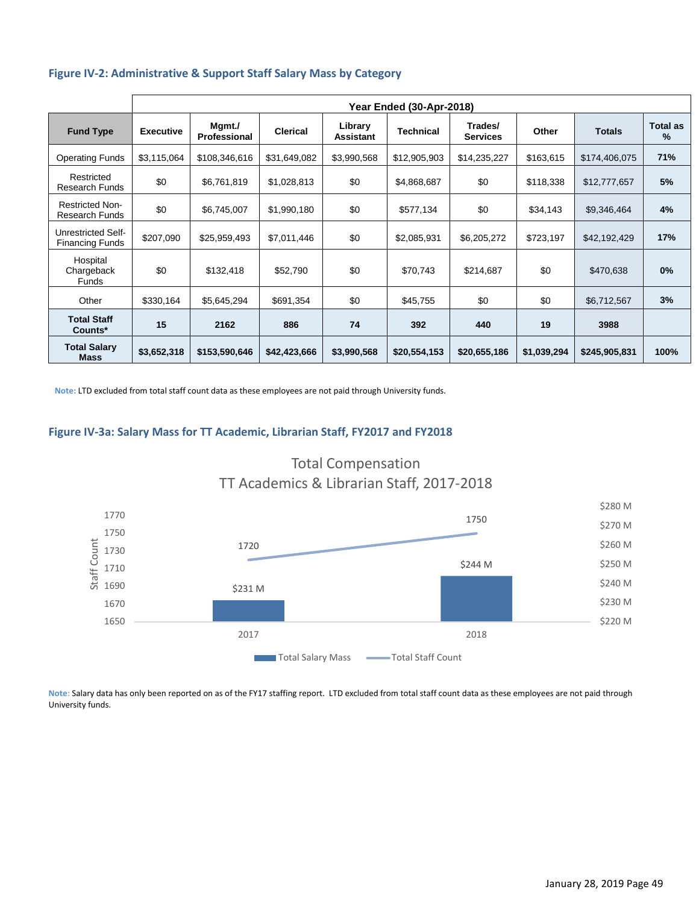|                                                 | Year Ended (30-Apr-2018) |                        |                 |                             |                  |                            |             |               |                         |
|-------------------------------------------------|--------------------------|------------------------|-----------------|-----------------------------|------------------|----------------------------|-------------|---------------|-------------------------|
| <b>Fund Type</b>                                | <b>Executive</b>         | Mgmt./<br>Professional | <b>Clerical</b> | Library<br><b>Assistant</b> | <b>Technical</b> | Trades/<br><b>Services</b> | Other       | <b>Totals</b> | <b>Total as</b><br>$\%$ |
| <b>Operating Funds</b>                          | \$3,115,064              | \$108,346,616          | \$31,649,082    | \$3,990,568                 | \$12,905,903     | \$14,235,227               | \$163,615   | \$174,406,075 | 71%                     |
| Restricted<br><b>Research Funds</b>             | \$0                      | \$6,761,819            | \$1,028,813     | \$0                         | \$4,868,687      | \$0                        | \$118,338   | \$12,777,657  | 5%                      |
| <b>Restricted Non-</b><br><b>Research Funds</b> | \$0                      | \$6,745,007            | \$1,990,180     | \$0                         | \$577,134        | \$0                        | \$34,143    | \$9,346,464   | 4%                      |
| Unrestricted Self-<br><b>Financing Funds</b>    | \$207,090                | \$25,959,493           | \$7,011,446     | \$0                         | \$2,085,931      | \$6,205,272                | \$723,197   | \$42,192,429  | 17%                     |
| Hospital<br>Chargeback<br><b>Funds</b>          | \$0                      | \$132,418              | \$52,790        | \$0                         | \$70,743         | \$214,687                  | \$0         | \$470,638     | 0%                      |
| Other                                           | \$330,164                | \$5,645,294            | \$691,354       | \$0                         | \$45,755         | \$0                        | \$0         | \$6,712,567   | 3%                      |
| <b>Total Staff</b><br>Counts*                   | 15                       | 2162                   | 886             | 74                          | 392              | 440                        | 19          | 3988          |                         |
| <b>Total Salary</b><br><b>Mass</b>              | \$3,652,318              | \$153,590,646          | \$42,423,666    | \$3,990,568                 | \$20,554,153     | \$20,655,186               | \$1,039,294 | \$245,905,831 | 100%                    |

**Note:** LTD excluded from total staff count data as these employees are not paid through University funds.

#### **Figure IV-3a: Salary Mass for TT Academic, Librarian Staff, FY2017 and FY2018**



Total Compensation

**Note:** Salary data has only been reported on as of the FY17 staffing report. LTD excluded from total staff count data as these employees are not paid through University funds.